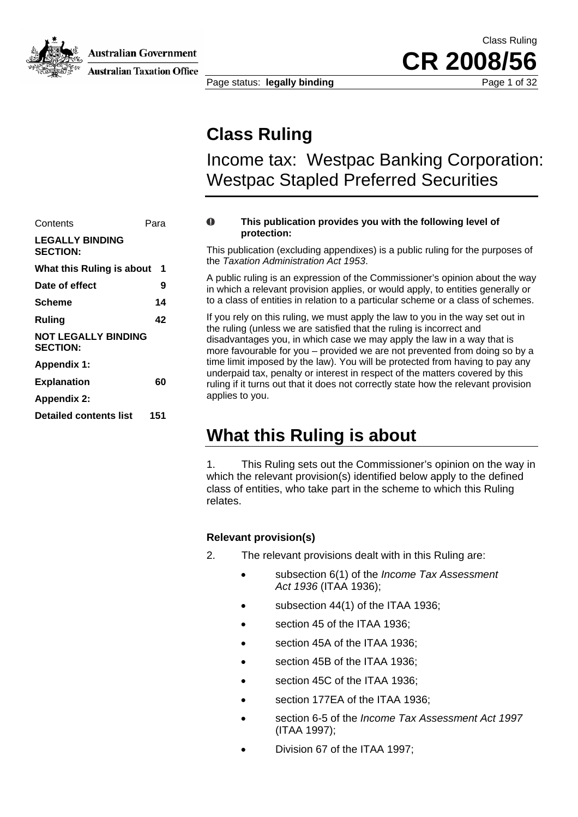

**Australian Government** 

**Australian Taxation Office** 

Class Ruling **CR 2008/56**

Page status: **legally binding** Page 1 of 32

## **Class Ruling**

Income tax: Westpac Banking Corporation: Westpac Stapled Preferred Securities

| Contents                                      | Para |
|-----------------------------------------------|------|
| <b>LEGALLY BINDING</b><br><b>SECTION:</b>     |      |
| What this Ruling is about                     | 1    |
| Date of effect                                | 9    |
| Scheme                                        | 14   |
| Ruling                                        | 42   |
| <b>NOT LEGALLY BINDING</b><br><b>SECTION:</b> |      |
| <b>Appendix 1:</b>                            |      |
| <b>Explanation</b>                            | 60   |
| <b>Appendix 2:</b>                            |      |
| <b>Detailed contents list</b>                 | 151  |

#### $\mathbf{0}$ **This publication provides you with the following level of protection:**

This publication (excluding appendixes) is a public ruling for the purposes of the *Taxation Administration Act 1953*.

A public ruling is an expression of the Commissioner's opinion about the way in which a relevant provision applies, or would apply, to entities generally or **Scheme 14** 14 to a class of entities in relation to a particular scheme or a class of schemes.

If you rely on this ruling, we must apply the law to you in the way set out in the ruling (unless we are satisfied that the ruling is incorrect and disadvantages you, in which case we may apply the law in a way that is more favourable for you – provided we are not prevented from doing so by a time limit imposed by the law). You will be protected from having to pay any underpaid tax, penalty or interest in respect of the matters covered by this **Explanation** 60 **60** ruling if it turns out that it does not correctly state how the relevant provision applies to you.

## **What this Ruling is about**

1. This Ruling sets out the Commissioner's opinion on the way in which the relevant provision(s) identified below apply to the defined class of entities, who take part in the scheme to which this Ruling relates.

## **Relevant provision(s)**

- 2. The relevant provisions dealt with in this Ruling are:
	- subsection 6(1) of the *Income Tax Assessment Act 1936* (ITAA 1936);
	- subsection 44(1) of the ITAA 1936;
	- section 45 of the ITAA 1936:
	- section 45A of the ITAA 1936:
	- section 45B of the ITAA 1936;
	- section 45C of the ITAA 1936;
	- section 177EA of the ITAA 1936;
	- section 6-5 of the *Income Tax Assessment Act 1997* (ITAA 1997);
	- Division 67 of the ITAA 1997;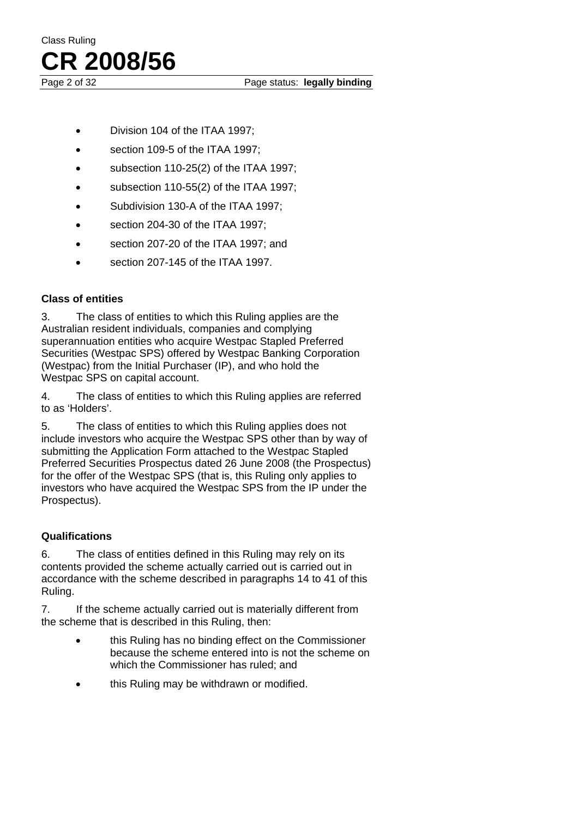Page 2 of 32 Page status: **legally binding** 

- Division 104 of the ITAA 1997;
- section 109-5 of the ITAA 1997;
- subsection 110-25(2) of the ITAA 1997;
- subsection 110-55(2) of the ITAA 1997;
- Subdivision 130-A of the ITAA 1997;
- section 204-30 of the ITAA 1997;
- section 207-20 of the ITAA 1997; and
- section 207-145 of the ITAA 1997.

## **Class of entities**

3. The class of entities to which this Ruling applies are the Australian resident individuals, companies and complying superannuation entities who acquire Westpac Stapled Preferred Securities (Westpac SPS) offered by Westpac Banking Corporation (Westpac) from the Initial Purchaser (IP), and who hold the Westpac SPS on capital account.

4. The class of entities to which this Ruling applies are referred to as 'Holders'.

5. The class of entities to which this Ruling applies does not include investors who acquire the Westpac SPS other than by way of submitting the Application Form attached to the Westpac Stapled Preferred Securities Prospectus dated 26 June 2008 (the Prospectus) for the offer of the Westpac SPS (that is, this Ruling only applies to investors who have acquired the Westpac SPS from the IP under the Prospectus).

## **Qualifications**

6. The class of entities defined in this Ruling may rely on its contents provided the scheme actually carried out is carried out in accordance with the scheme described in paragraphs 14 to 41 of this Ruling.

7. If the scheme actually carried out is materially different from the scheme that is described in this Ruling, then:

- this Ruling has no binding effect on the Commissioner because the scheme entered into is not the scheme on which the Commissioner has ruled; and
- this Ruling may be withdrawn or modified.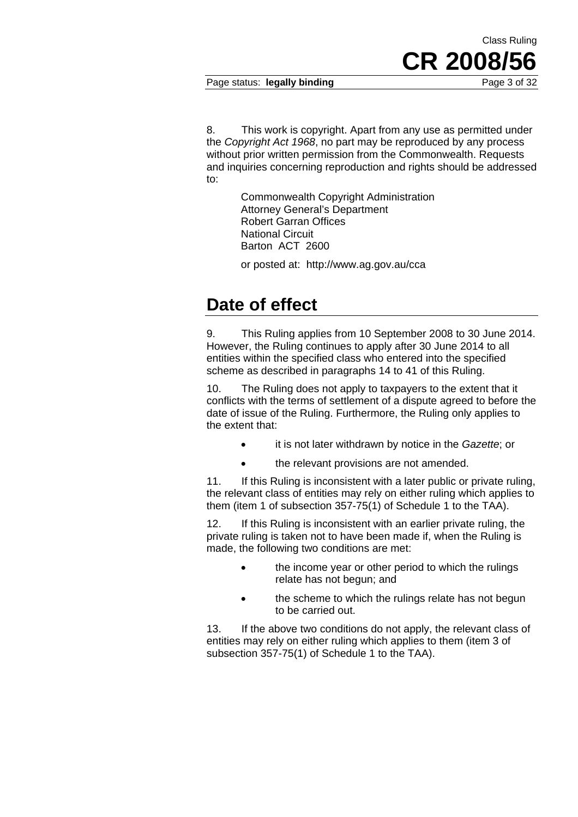Page status: **legally binding** Page 3 of 32

8. This work is copyright. Apart from any use as permitted under the *Copyright Act 1968*, no part may be reproduced by any process without prior written permission from the Commonwealth. Requests and inquiries concerning reproduction and rights should be addressed to:

> Commonwealth Copyright Administration Attorney General's Department Robert Garran Offices National Circuit Barton ACT 2600

or posted at: http://www.ag.gov.au/cca

# **Date of effect**

9. This Ruling applies from 10 September 2008 to 30 June 2014. However, the Ruling continues to apply after 30 June 2014 to all entities within the specified class who entered into the specified scheme as described in paragraphs 14 to 41 of this Ruling.

10. The Ruling does not apply to taxpayers to the extent that it conflicts with the terms of settlement of a dispute agreed to before the date of issue of the Ruling. Furthermore, the Ruling only applies to the extent that:

- it is not later withdrawn by notice in the *Gazette*; or
- the relevant provisions are not amended.

11. If this Ruling is inconsistent with a later public or private ruling, the relevant class of entities may rely on either ruling which applies to them (item 1 of subsection 357-75(1) of Schedule 1 to the TAA).

12. If this Ruling is inconsistent with an earlier private ruling, the private ruling is taken not to have been made if, when the Ruling is made, the following two conditions are met:

- the income year or other period to which the rulings relate has not begun; and
- the scheme to which the rulings relate has not begun to be carried out.

13. If the above two conditions do not apply, the relevant class of entities may rely on either ruling which applies to them (item 3 of subsection 357-75(1) of Schedule 1 to the TAA).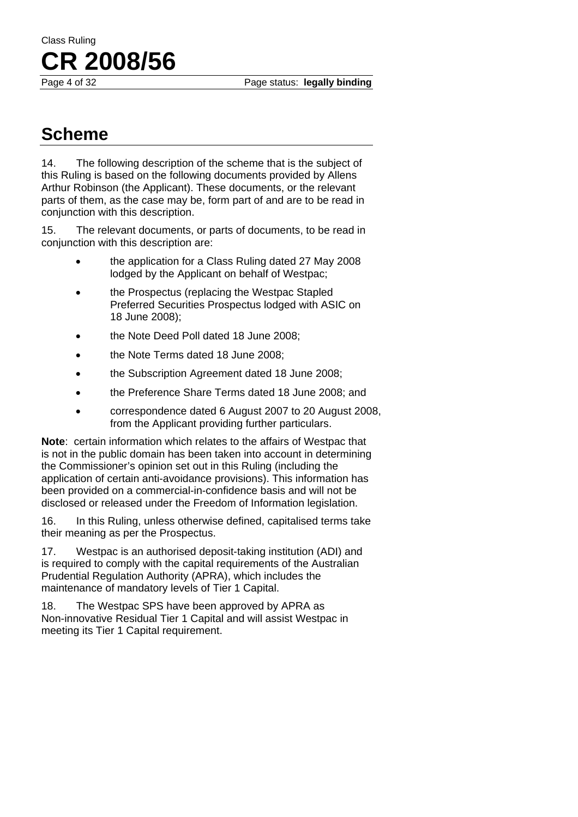Page 4 of 32 Page status: **legally binding** 

# Class Ruling **CR 2008/56**

# **Scheme**

14. The following description of the scheme that is the subject of this Ruling is based on the following documents provided by Allens Arthur Robinson (the Applicant). These documents, or the relevant parts of them, as the case may be, form part of and are to be read in conjunction with this description.

15. The relevant documents, or parts of documents, to be read in conjunction with this description are:

- the application for a Class Ruling dated 27 May 2008 lodged by the Applicant on behalf of Westpac;
- the Prospectus (replacing the Westpac Stapled Preferred Securities Prospectus lodged with ASIC on 18 June 2008);
- the Note Deed Poll dated 18 June 2008;
- the Note Terms dated 18 June 2008;
- the Subscription Agreement dated 18 June 2008;
- the Preference Share Terms dated 18 June 2008; and
- correspondence dated 6 August 2007 to 20 August 2008, from the Applicant providing further particulars.

**Note**: certain information which relates to the affairs of Westpac that is not in the public domain has been taken into account in determining the Commissioner's opinion set out in this Ruling (including the application of certain anti-avoidance provisions). This information has been provided on a commercial-in-confidence basis and will not be disclosed or released under the Freedom of Information legislation.

16. In this Ruling, unless otherwise defined, capitalised terms take their meaning as per the Prospectus.

17. Westpac is an authorised deposit-taking institution (ADI) and is required to comply with the capital requirements of the Australian Prudential Regulation Authority (APRA), which includes the maintenance of mandatory levels of Tier 1 Capital.

18. The Westpac SPS have been approved by APRA as Non-innovative Residual Tier 1 Capital and will assist Westpac in meeting its Tier 1 Capital requirement.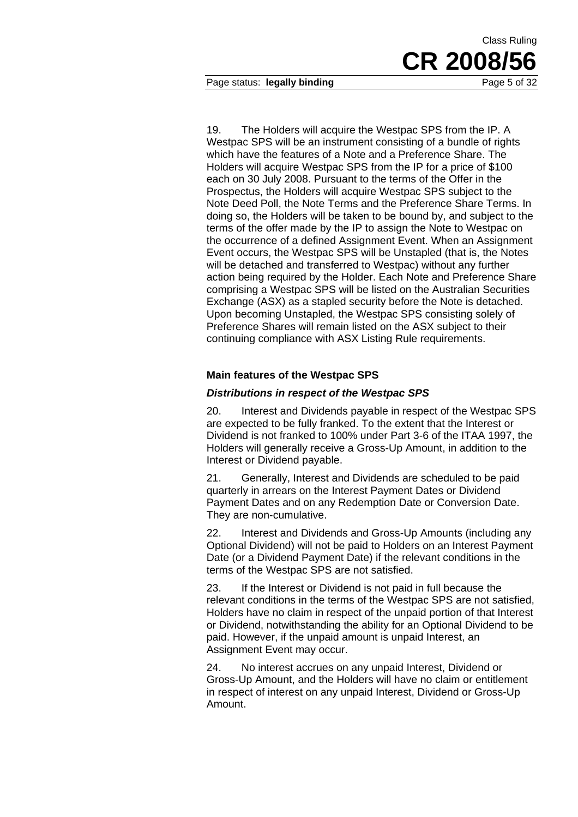Page status: **legally binding** Page 5 of 32

19. The Holders will acquire the Westpac SPS from the IP. A Westpac SPS will be an instrument consisting of a bundle of rights which have the features of a Note and a Preference Share. The Holders will acquire Westpac SPS from the IP for a price of \$100 each on 30 July 2008. Pursuant to the terms of the Offer in the Prospectus, the Holders will acquire Westpac SPS subject to the Note Deed Poll, the Note Terms and the Preference Share Terms. In doing so, the Holders will be taken to be bound by, and subject to the terms of the offer made by the IP to assign the Note to Westpac on the occurrence of a defined Assignment Event. When an Assignment Event occurs, the Westpac SPS will be Unstapled (that is, the Notes will be detached and transferred to Westpac) without any further action being required by the Holder. Each Note and Preference Share comprising a Westpac SPS will be listed on the Australian Securities Exchange (ASX) as a stapled security before the Note is detached. Upon becoming Unstapled, the Westpac SPS consisting solely of Preference Shares will remain listed on the ASX subject to their continuing compliance with ASX Listing Rule requirements.

## **Main features of the Westpac SPS**

## *Distributions in respect of the Westpac SPS*

20. Interest and Dividends payable in respect of the Westpac SPS are expected to be fully franked. To the extent that the Interest or Dividend is not franked to 100% under Part 3-6 of the ITAA 1997, the Holders will generally receive a Gross-Up Amount, in addition to the Interest or Dividend payable.

21. Generally, Interest and Dividends are scheduled to be paid quarterly in arrears on the Interest Payment Dates or Dividend Payment Dates and on any Redemption Date or Conversion Date. They are non-cumulative.

22. Interest and Dividends and Gross-Up Amounts (including any Optional Dividend) will not be paid to Holders on an Interest Payment Date (or a Dividend Payment Date) if the relevant conditions in the terms of the Westpac SPS are not satisfied.

23. If the Interest or Dividend is not paid in full because the relevant conditions in the terms of the Westpac SPS are not satisfied, Holders have no claim in respect of the unpaid portion of that Interest or Dividend, notwithstanding the ability for an Optional Dividend to be paid. However, if the unpaid amount is unpaid Interest, an Assignment Event may occur.

24. No interest accrues on any unpaid Interest, Dividend or Gross-Up Amount, and the Holders will have no claim or entitlement in respect of interest on any unpaid Interest, Dividend or Gross-Up Amount.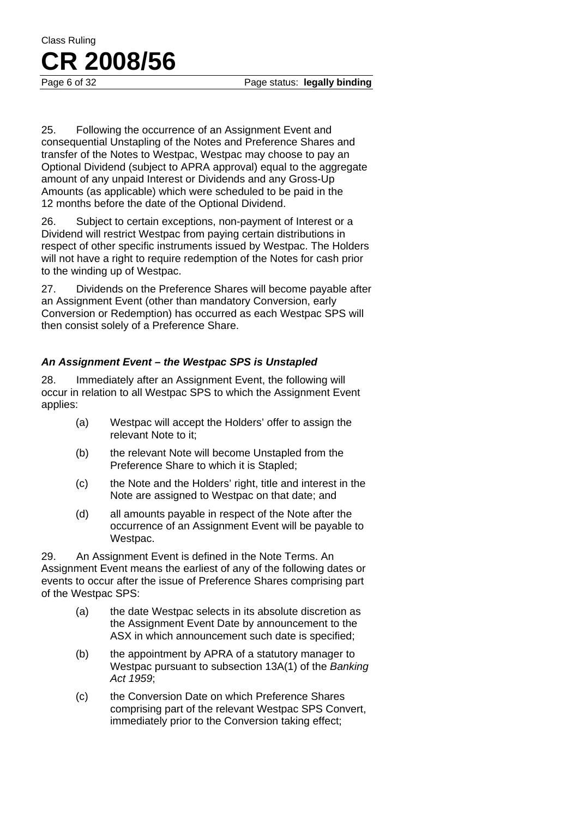Page 6 of 32 **Page status:** legally binding

25. Following the occurrence of an Assignment Event and consequential Unstapling of the Notes and Preference Shares and transfer of the Notes to Westpac, Westpac may choose to pay an Optional Dividend (subject to APRA approval) equal to the aggregate amount of any unpaid Interest or Dividends and any Gross-Up Amounts (as applicable) which were scheduled to be paid in the 12 months before the date of the Optional Dividend.

26. Subject to certain exceptions, non-payment of Interest or a Dividend will restrict Westpac from paying certain distributions in respect of other specific instruments issued by Westpac. The Holders will not have a right to require redemption of the Notes for cash prior to the winding up of Westpac.

27. Dividends on the Preference Shares will become payable after an Assignment Event (other than mandatory Conversion, early Conversion or Redemption) has occurred as each Westpac SPS will then consist solely of a Preference Share.

## *An Assignment Event – the Westpac SPS is Unstapled*

28. Immediately after an Assignment Event, the following will occur in relation to all Westpac SPS to which the Assignment Event applies:

- (a) Westpac will accept the Holders' offer to assign the relevant Note to it;
- (b) the relevant Note will become Unstapled from the Preference Share to which it is Stapled;
- (c) the Note and the Holders' right, title and interest in the Note are assigned to Westpac on that date; and
- (d) all amounts payable in respect of the Note after the occurrence of an Assignment Event will be payable to Westpac.

29. An Assignment Event is defined in the Note Terms. An Assignment Event means the earliest of any of the following dates or events to occur after the issue of Preference Shares comprising part of the Westpac SPS:

- (a) the date Westpac selects in its absolute discretion as the Assignment Event Date by announcement to the ASX in which announcement such date is specified;
- (b) the appointment by APRA of a statutory manager to Westpac pursuant to subsection 13A(1) of the *Banking Act 1959*;
- (c) the Conversion Date on which Preference Shares comprising part of the relevant Westpac SPS Convert, immediately prior to the Conversion taking effect;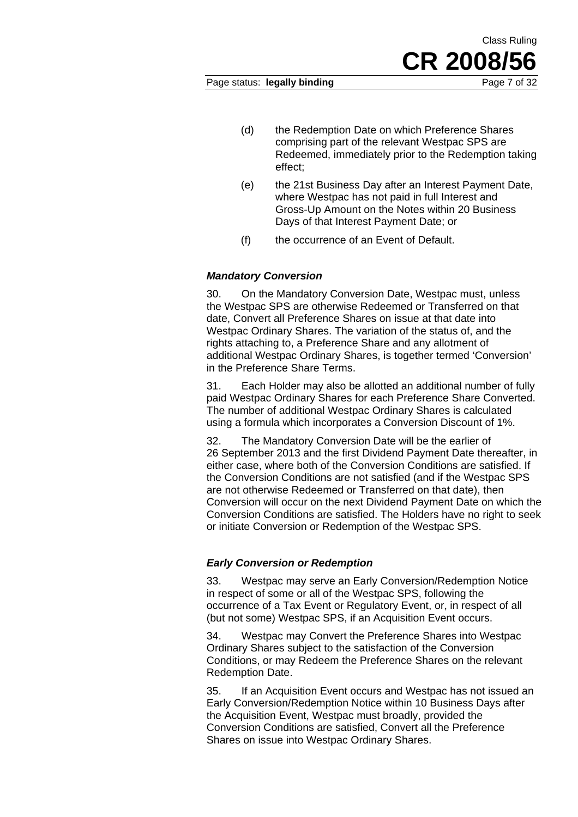Class Ruling

- (d) the Redemption Date on which Preference Shares comprising part of the relevant Westpac SPS are Redeemed, immediately prior to the Redemption taking effect;
- (e) the 21st Business Day after an Interest Payment Date, where Westpac has not paid in full Interest and Gross-Up Amount on the Notes within 20 Business Days of that Interest Payment Date; or
- (f) the occurrence of an Event of Default.

#### *Mandatory Conversion*

30. On the Mandatory Conversion Date, Westpac must, unless the Westpac SPS are otherwise Redeemed or Transferred on that date, Convert all Preference Shares on issue at that date into Westpac Ordinary Shares. The variation of the status of, and the rights attaching to, a Preference Share and any allotment of additional Westpac Ordinary Shares, is together termed 'Conversion' in the Preference Share Terms.

31. Each Holder may also be allotted an additional number of fully paid Westpac Ordinary Shares for each Preference Share Converted. The number of additional Westpac Ordinary Shares is calculated using a formula which incorporates a Conversion Discount of 1%.

32. The Mandatory Conversion Date will be the earlier of 26 September 2013 and the first Dividend Payment Date thereafter, in either case, where both of the Conversion Conditions are satisfied. If the Conversion Conditions are not satisfied (and if the Westpac SPS are not otherwise Redeemed or Transferred on that date), then Conversion will occur on the next Dividend Payment Date on which the Conversion Conditions are satisfied. The Holders have no right to seek or initiate Conversion or Redemption of the Westpac SPS.

#### *Early Conversion or Redemption*

33. Westpac may serve an Early Conversion/Redemption Notice in respect of some or all of the Westpac SPS, following the occurrence of a Tax Event or Regulatory Event, or, in respect of all (but not some) Westpac SPS, if an Acquisition Event occurs.

34. Westpac may Convert the Preference Shares into Westpac Ordinary Shares subject to the satisfaction of the Conversion Conditions, or may Redeem the Preference Shares on the relevant Redemption Date.

35. If an Acquisition Event occurs and Westpac has not issued an Early Conversion/Redemption Notice within 10 Business Days after the Acquisition Event, Westpac must broadly, provided the Conversion Conditions are satisfied, Convert all the Preference Shares on issue into Westpac Ordinary Shares.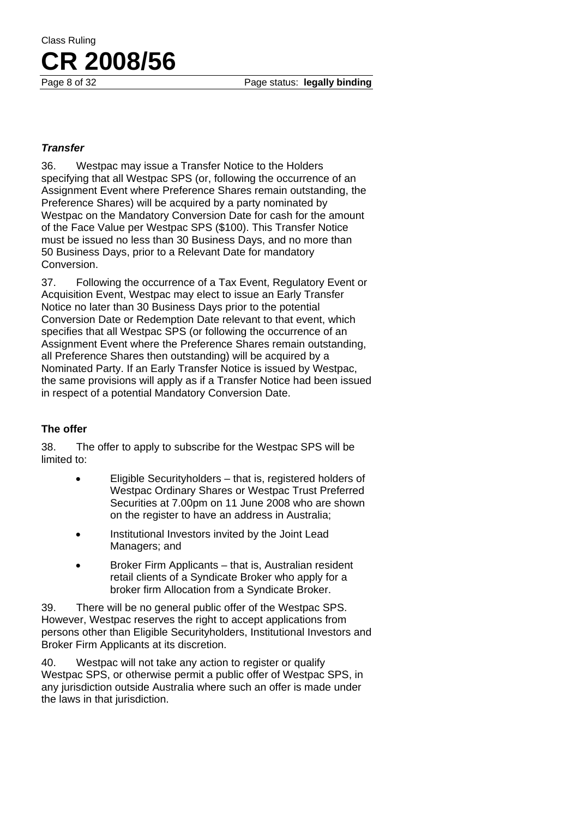#### *Transfer*

36. Westpac may issue a Transfer Notice to the Holders specifying that all Westpac SPS (or, following the occurrence of an Assignment Event where Preference Shares remain outstanding, the Preference Shares) will be acquired by a party nominated by Westpac on the Mandatory Conversion Date for cash for the amount of the Face Value per Westpac SPS (\$100). This Transfer Notice must be issued no less than 30 Business Days, and no more than 50 Business Days, prior to a Relevant Date for mandatory Conversion.

37. Following the occurrence of a Tax Event, Regulatory Event or Acquisition Event, Westpac may elect to issue an Early Transfer Notice no later than 30 Business Days prior to the potential Conversion Date or Redemption Date relevant to that event, which specifies that all Westpac SPS (or following the occurrence of an Assignment Event where the Preference Shares remain outstanding, all Preference Shares then outstanding) will be acquired by a Nominated Party. If an Early Transfer Notice is issued by Westpac, the same provisions will apply as if a Transfer Notice had been issued in respect of a potential Mandatory Conversion Date.

## **The offer**

38. The offer to apply to subscribe for the Westpac SPS will be limited to:

- Eligible Securityholders that is, registered holders of Westpac Ordinary Shares or Westpac Trust Preferred Securities at 7.00pm on 11 June 2008 who are shown on the register to have an address in Australia;
- Institutional Investors invited by the Joint Lead Managers; and
- Broker Firm Applicants that is, Australian resident retail clients of a Syndicate Broker who apply for a broker firm Allocation from a Syndicate Broker.

39. There will be no general public offer of the Westpac SPS. However, Westpac reserves the right to accept applications from persons other than Eligible Securityholders, Institutional Investors and Broker Firm Applicants at its discretion.

40. Westpac will not take any action to register or qualify Westpac SPS, or otherwise permit a public offer of Westpac SPS, in any jurisdiction outside Australia where such an offer is made under the laws in that jurisdiction.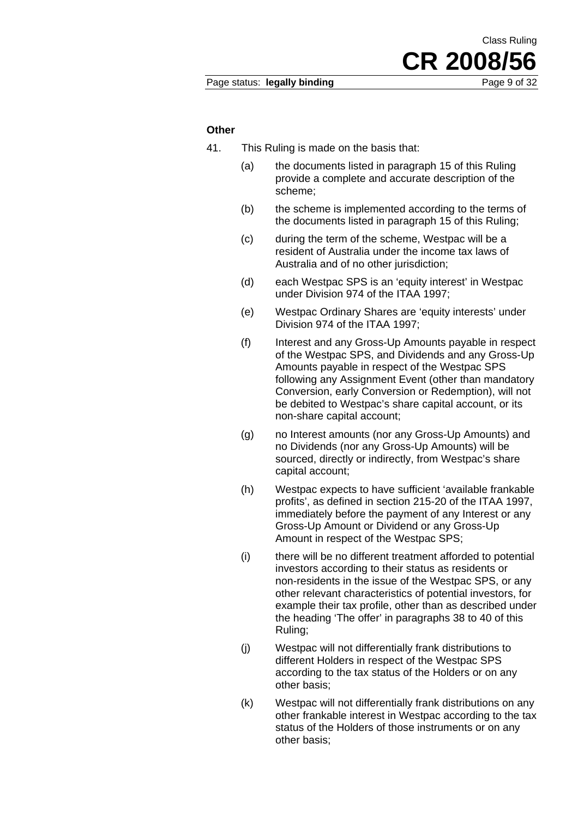Class Ruling

#### **Other**

- 41. This Ruling is made on the basis that:
	- (a) the documents listed in paragraph 15 of this Ruling provide a complete and accurate description of the scheme;
	- (b) the scheme is implemented according to the terms of the documents listed in paragraph 15 of this Ruling;
	- (c) during the term of the scheme, Westpac will be a resident of Australia under the income tax laws of Australia and of no other jurisdiction;
	- (d) each Westpac SPS is an 'equity interest' in Westpac under Division 974 of the ITAA 1997;
	- (e) Westpac Ordinary Shares are 'equity interests' under Division 974 of the ITAA 1997;
	- (f) Interest and any Gross-Up Amounts payable in respect of the Westpac SPS, and Dividends and any Gross-Up Amounts payable in respect of the Westpac SPS following any Assignment Event (other than mandatory Conversion, early Conversion or Redemption), will not be debited to Westpac's share capital account, or its non-share capital account;
	- (g) no Interest amounts (nor any Gross-Up Amounts) and no Dividends (nor any Gross-Up Amounts) will be sourced, directly or indirectly, from Westpac's share capital account;
	- (h) Westpac expects to have sufficient 'available frankable profits', as defined in section 215-20 of the ITAA 1997, immediately before the payment of any Interest or any Gross-Up Amount or Dividend or any Gross-Up Amount in respect of the Westpac SPS;
	- (i) there will be no different treatment afforded to potential investors according to their status as residents or non-residents in the issue of the Westpac SPS, or any other relevant characteristics of potential investors, for example their tax profile, other than as described under the heading 'The offer' in paragraphs 38 to 40 of this Ruling;
	- (j) Westpac will not differentially frank distributions to different Holders in respect of the Westpac SPS according to the tax status of the Holders or on any other basis;
	- (k) Westpac will not differentially frank distributions on any other frankable interest in Westpac according to the tax status of the Holders of those instruments or on any other basis;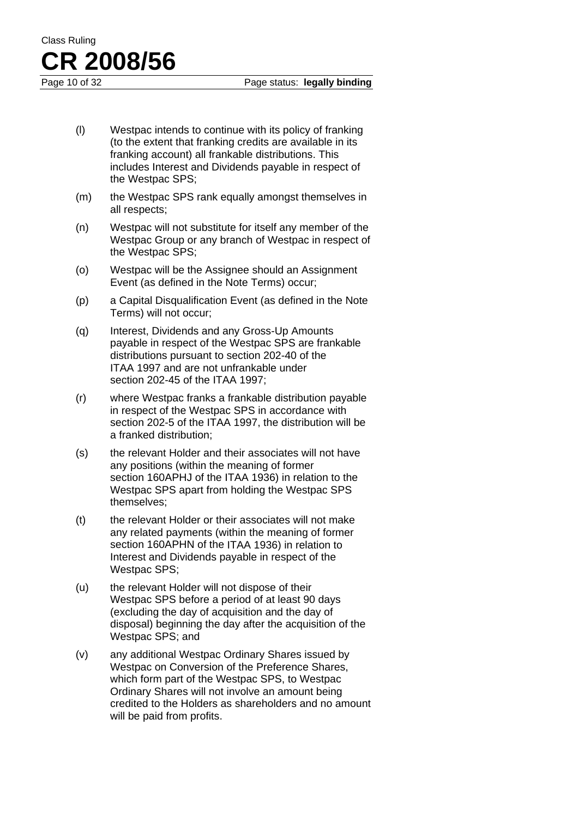- (l) Westpac intends to continue with its policy of franking (to the extent that franking credits are available in its franking account) all frankable distributions. This includes Interest and Dividends payable in respect of the Westpac SPS;
- (m) the Westpac SPS rank equally amongst themselves in all respects;
- (n) Westpac will not substitute for itself any member of the Westpac Group or any branch of Westpac in respect of the Westpac SPS;
- (o) Westpac will be the Assignee should an Assignment Event (as defined in the Note Terms) occur;
- (p) a Capital Disqualification Event (as defined in the Note Terms) will not occur;
- (q) Interest, Dividends and any Gross-Up Amounts payable in respect of the Westpac SPS are frankable distributions pursuant to section 202-40 of the ITAA 1997 and are not unfrankable under section 202-45 of the ITAA 1997;
- (r) where Westpac franks a frankable distribution payable in respect of the Westpac SPS in accordance with section 202-5 of the ITAA 1997, the distribution will be a franked distribution;
- (s) the relevant Holder and their associates will not have any positions (within the meaning of former section 160APHJ of the ITAA 1936) in relation to the Westpac SPS apart from holding the Westpac SPS themselves;
- (t) the relevant Holder or their associates will not make any related payments (within the meaning of former section 160APHN of the ITAA 1936) in relation to Interest and Dividends payable in respect of the Westpac SPS;
- (u) the relevant Holder will not dispose of their Westpac SPS before a period of at least 90 days (excluding the day of acquisition and the day of disposal) beginning the day after the acquisition of the Westpac SPS; and
- (v) any additional Westpac Ordinary Shares issued by Westpac on Conversion of the Preference Shares, which form part of the Westpac SPS, to Westpac Ordinary Shares will not involve an amount being credited to the Holders as shareholders and no amount will be paid from profits.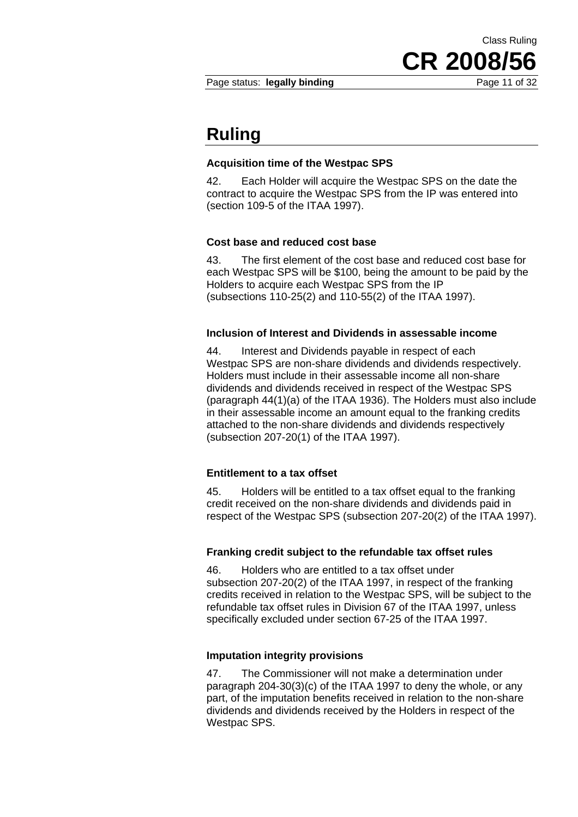Page status: **legally binding** Page 11 of 32

**CR 2008/56**

Class Ruling

## **Ruling**

### **Acquisition time of the Westpac SPS**

42. Each Holder will acquire the Westpac SPS on the date the contract to acquire the Westpac SPS from the IP was entered into (section 109-5 of the ITAA 1997).

#### **Cost base and reduced cost base**

43. The first element of the cost base and reduced cost base for each Westpac SPS will be \$100, being the amount to be paid by the Holders to acquire each Westpac SPS from the IP (subsections 110-25(2) and 110-55(2) of the ITAA 1997).

#### **Inclusion of Interest and Dividends in assessable income**

44. Interest and Dividends payable in respect of each Westpac SPS are non-share dividends and dividends respectively. Holders must include in their assessable income all non-share dividends and dividends received in respect of the Westpac SPS (paragraph 44(1)(a) of the ITAA 1936). The Holders must also include in their assessable income an amount equal to the franking credits attached to the non-share dividends and dividends respectively (subsection 207-20(1) of the ITAA 1997).

## **Entitlement to a tax offset**

45. Holders will be entitled to a tax offset equal to the franking credit received on the non-share dividends and dividends paid in respect of the Westpac SPS (subsection 207-20(2) of the ITAA 1997).

#### **Franking credit subject to the refundable tax offset rules**

46. Holders who are entitled to a tax offset under subsection 207-20(2) of the ITAA 1997, in respect of the franking credits received in relation to the Westpac SPS, will be subject to the refundable tax offset rules in Division 67 of the ITAA 1997, unless specifically excluded under section 67-25 of the ITAA 1997.

#### **Imputation integrity provisions**

47. The Commissioner will not make a determination under paragraph 204-30(3)(c) of the ITAA 1997 to deny the whole, or any part, of the imputation benefits received in relation to the non-share dividends and dividends received by the Holders in respect of the Westpac SPS.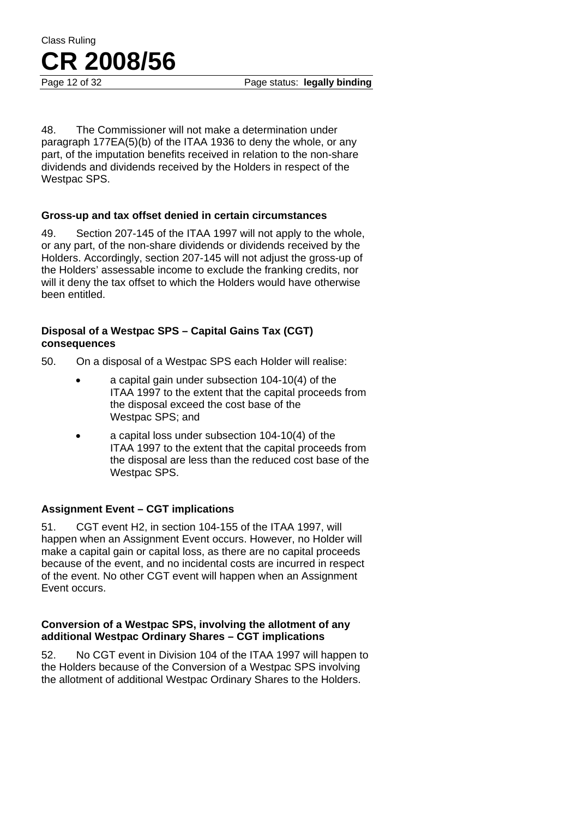Page 12 of 32 Page status: **legally binding** 

48. The Commissioner will not make a determination under paragraph 177EA(5)(b) of the ITAA 1936 to deny the whole, or any part, of the imputation benefits received in relation to the non-share dividends and dividends received by the Holders in respect of the Westpac SPS.

## **Gross-up and tax offset denied in certain circumstances**

49. Section 207-145 of the ITAA 1997 will not apply to the whole, or any part, of the non-share dividends or dividends received by the Holders. Accordingly, section 207-145 will not adjust the gross-up of the Holders' assessable income to exclude the franking credits, nor will it deny the tax offset to which the Holders would have otherwise been entitled.

## **Disposal of a Westpac SPS – Capital Gains Tax (CGT) consequences**

50. On a disposal of a Westpac SPS each Holder will realise:

- a capital gain under subsection 104-10(4) of the ITAA 1997 to the extent that the capital proceeds from the disposal exceed the cost base of the Westpac SPS; and
- a capital loss under subsection 104-10(4) of the ITAA 1997 to the extent that the capital proceeds from the disposal are less than the reduced cost base of the Westpac SPS.

## **Assignment Event – CGT implications**

51. CGT event H2, in section 104-155 of the ITAA 1997, will happen when an Assignment Event occurs. However, no Holder will make a capital gain or capital loss, as there are no capital proceeds because of the event, and no incidental costs are incurred in respect of the event. No other CGT event will happen when an Assignment Event occurs.

#### **Conversion of a Westpac SPS, involving the allotment of any additional Westpac Ordinary Shares – CGT implications**

52. No CGT event in Division 104 of the ITAA 1997 will happen to the Holders because of the Conversion of a Westpac SPS involving the allotment of additional Westpac Ordinary Shares to the Holders.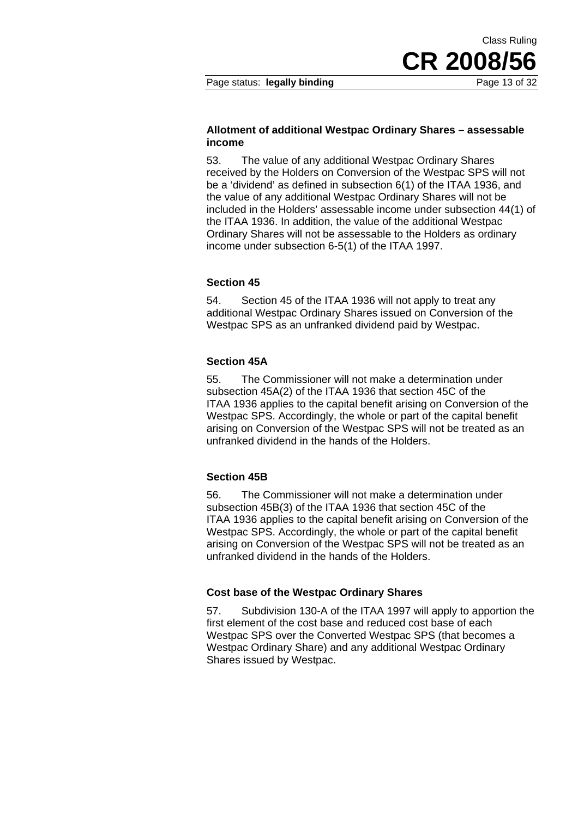Class Ruling

#### **Allotment of additional Westpac Ordinary Shares – assessable income**

53. The value of any additional Westpac Ordinary Shares received by the Holders on Conversion of the Westpac SPS will not be a 'dividend' as defined in subsection 6(1) of the ITAA 1936, and the value of any additional Westpac Ordinary Shares will not be included in the Holders' assessable income under subsection 44(1) of the ITAA 1936. In addition, the value of the additional Westpac Ordinary Shares will not be assessable to the Holders as ordinary income under subsection 6-5(1) of the ITAA 1997.

## **Section 45**

54. Section 45 of the ITAA 1936 will not apply to treat any additional Westpac Ordinary Shares issued on Conversion of the Westpac SPS as an unfranked dividend paid by Westpac.

#### **Section 45A**

55. The Commissioner will not make a determination under subsection 45A(2) of the ITAA 1936 that section 45C of the ITAA 1936 applies to the capital benefit arising on Conversion of the Westpac SPS. Accordingly, the whole or part of the capital benefit arising on Conversion of the Westpac SPS will not be treated as an unfranked dividend in the hands of the Holders.

#### **Section 45B**

56. The Commissioner will not make a determination under subsection 45B(3) of the ITAA 1936 that section 45C of the ITAA 1936 applies to the capital benefit arising on Conversion of the Westpac SPS. Accordingly, the whole or part of the capital benefit arising on Conversion of the Westpac SPS will not be treated as an unfranked dividend in the hands of the Holders.

#### **Cost base of the Westpac Ordinary Shares**

57. Subdivision 130-A of the ITAA 1997 will apply to apportion the first element of the cost base and reduced cost base of each Westpac SPS over the Converted Westpac SPS (that becomes a Westpac Ordinary Share) and any additional Westpac Ordinary Shares issued by Westpac.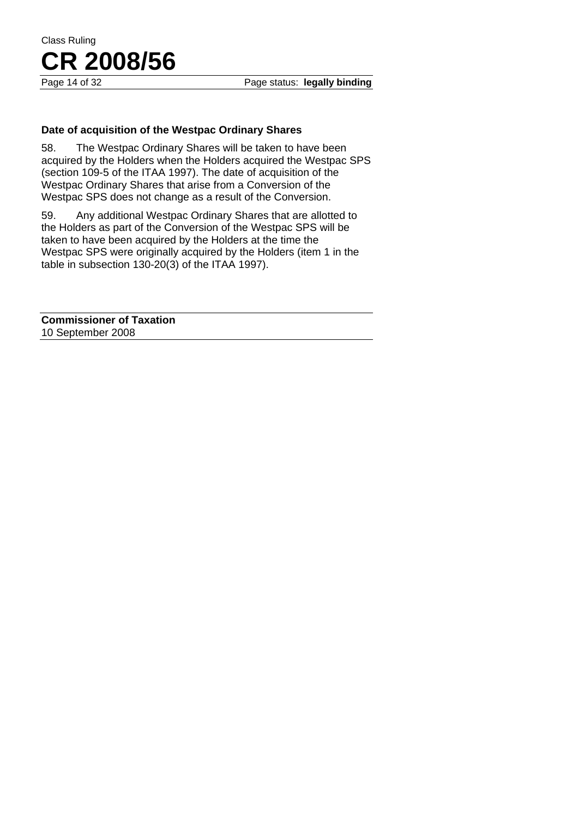## **Date of acquisition of the Westpac Ordinary Shares**

58. The Westpac Ordinary Shares will be taken to have been acquired by the Holders when the Holders acquired the Westpac SPS (section 109-5 of the ITAA 1997). The date of acquisition of the Westpac Ordinary Shares that arise from a Conversion of the Westpac SPS does not change as a result of the Conversion.

59. Any additional Westpac Ordinary Shares that are allotted to the Holders as part of the Conversion of the Westpac SPS will be taken to have been acquired by the Holders at the time the Westpac SPS were originally acquired by the Holders (item 1 in the table in subsection 130-20(3) of the ITAA 1997).

**Commissioner of Taxation**  10 September 2008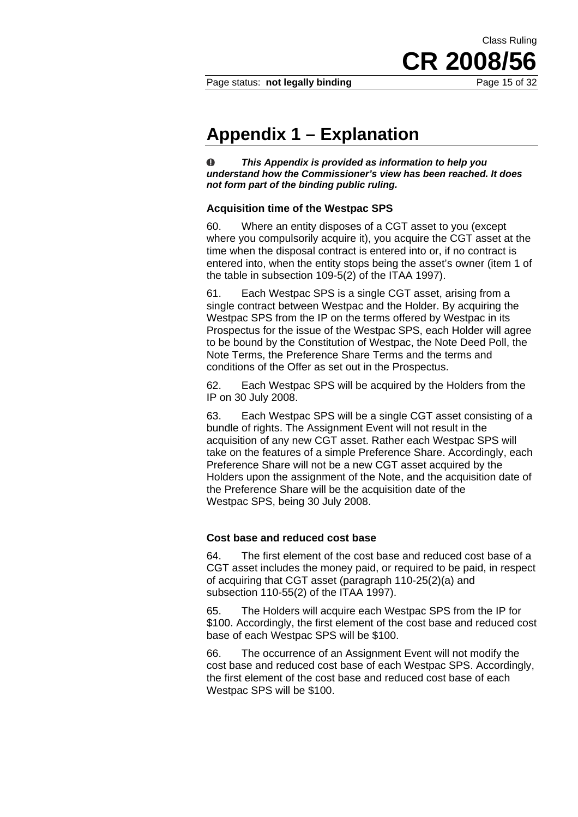CR 2008/

Class Ruling

## **Appendix 1 – Explanation**

 $\bf{O}$ *This Appendix is provided as information to help you understand how the Commissioner's view has been reached. It does not form part of the binding public ruling.* 

#### **Acquisition time of the Westpac SPS**

60. Where an entity disposes of a CGT asset to you (except where you compulsorily acquire it), you acquire the CGT asset at the time when the disposal contract is entered into or, if no contract is entered into, when the entity stops being the asset's owner (item 1 of the table in subsection 109-5(2) of the ITAA 1997).

61. Each Westpac SPS is a single CGT asset, arising from a single contract between Westpac and the Holder. By acquiring the Westpac SPS from the IP on the terms offered by Westpac in its Prospectus for the issue of the Westpac SPS, each Holder will agree to be bound by the Constitution of Westpac, the Note Deed Poll, the Note Terms, the Preference Share Terms and the terms and conditions of the Offer as set out in the Prospectus.

62. Each Westpac SPS will be acquired by the Holders from the IP on 30 July 2008.

63. Each Westpac SPS will be a single CGT asset consisting of a bundle of rights. The Assignment Event will not result in the acquisition of any new CGT asset. Rather each Westpac SPS will take on the features of a simple Preference Share. Accordingly, each Preference Share will not be a new CGT asset acquired by the Holders upon the assignment of the Note, and the acquisition date of the Preference Share will be the acquisition date of the Westpac SPS, being 30 July 2008.

#### **Cost base and reduced cost base**

64. The first element of the cost base and reduced cost base of a CGT asset includes the money paid, or required to be paid, in respect of acquiring that CGT asset (paragraph 110-25(2)(a) and subsection 110-55(2) of the ITAA 1997).

65. The Holders will acquire each Westpac SPS from the IP for \$100. Accordingly, the first element of the cost base and reduced cost base of each Westpac SPS will be \$100.

66. The occurrence of an Assignment Event will not modify the cost base and reduced cost base of each Westpac SPS. Accordingly, the first element of the cost base and reduced cost base of each Westpac SPS will be \$100.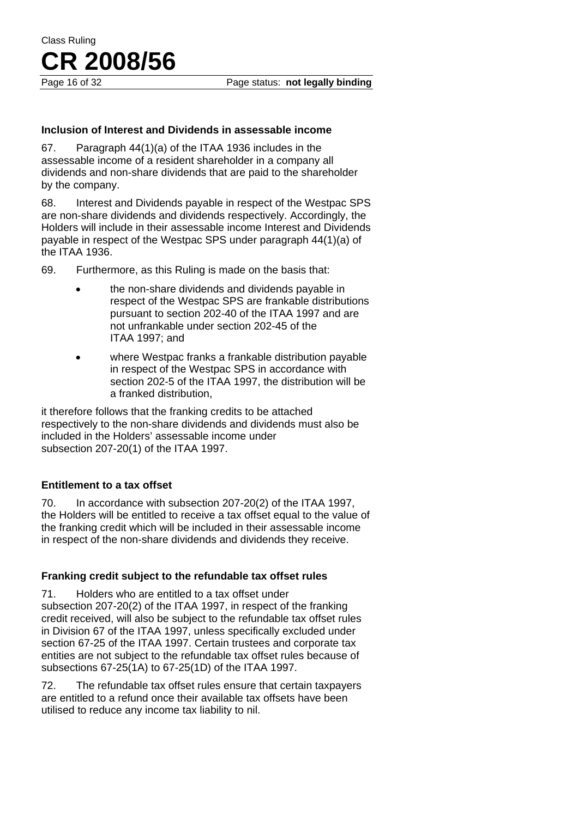## **Inclusion of Interest and Dividends in assessable income**

67. Paragraph 44(1)(a) of the ITAA 1936 includes in the assessable income of a resident shareholder in a company all dividends and non-share dividends that are paid to the shareholder by the company.

68. Interest and Dividends payable in respect of the Westpac SPS are non-share dividends and dividends respectively. Accordingly, the Holders will include in their assessable income Interest and Dividends payable in respect of the Westpac SPS under paragraph 44(1)(a) of the ITAA 1936.

69. Furthermore, as this Ruling is made on the basis that:

- the non-share dividends and dividends payable in respect of the Westpac SPS are frankable distributions pursuant to section 202-40 of the ITAA 1997 and are not unfrankable under section 202-45 of the ITAA  $1997$ ; and
- where Westpac franks a frankable distribution payable in respect of the Westpac SPS in accordance with section 202-5 of the ITAA 1997, the distribution will be a franked distribution,

it therefore follows that the franking credits to be attached respectively to the non-share dividends and dividends must also be included in the Holders' assessable income under subsection 207-20(1) of the ITAA 1997.

## **Entitlement to a tax offset**

70. In accordance with subsection 207-20(2) of the ITAA 1997, the Holders will be entitled to receive a tax offset equal to the value of the franking credit which will be included in their assessable income in respect of the non-share dividends and dividends they receive.

## **Franking credit subject to the refundable tax offset rules**

71. Holders who are entitled to a tax offset under subsection 207-20(2) of the ITAA 1997, in respect of the franking credit received, will also be subject to the refundable tax offset rules in Division 67 of the ITAA 1997, unless specifically excluded under section 67-25 of the ITAA 1997. Certain trustees and corporate tax entities are not subject to the refundable tax offset rules because of subsections 67-25(1A) to 67-25(1D) of the ITAA 1997.

72. The refundable tax offset rules ensure that certain taxpayers are entitled to a refund once their available tax offsets have been utilised to reduce any income tax liability to nil.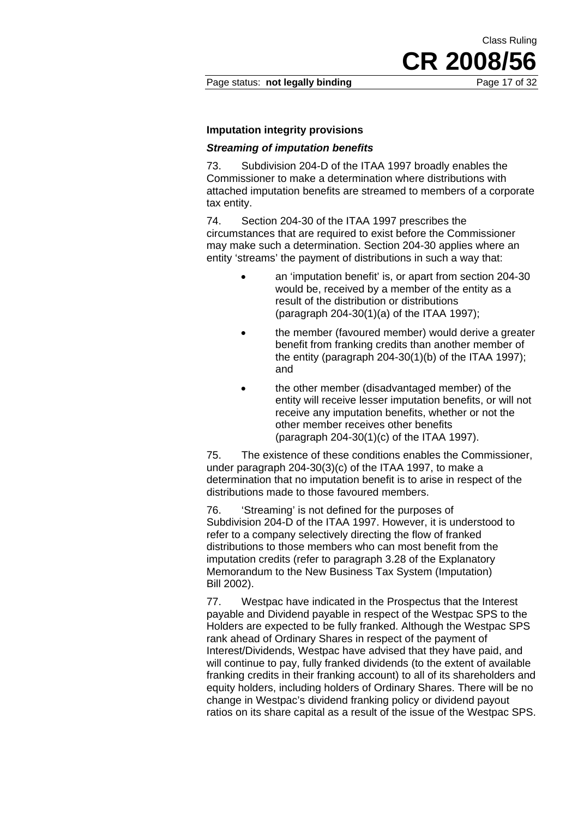## **Imputation integrity provisions**

### *Streaming of imputation benefits*

73. Subdivision 204-D of the ITAA 1997 broadly enables the Commissioner to make a determination where distributions with attached imputation benefits are streamed to members of a corporate tax entity.

74. Section 204-30 of the ITAA 1997 prescribes the circumstances that are required to exist before the Commissioner may make such a determination. Section 204-30 applies where an entity 'streams' the payment of distributions in such a way that:

- an 'imputation benefit' is, or apart from section 204-30 would be, received by a member of the entity as a result of the distribution or distributions (paragraph 204-30(1)(a) of the ITAA 1997);
- the member (favoured member) would derive a greater benefit from franking credits than another member of the entity (paragraph 204-30(1)(b) of the ITAA 1997); and
- the other member (disadvantaged member) of the entity will receive lesser imputation benefits, or will not receive any imputation benefits, whether or not the other member receives other benefits (paragraph 204-30(1)(c) of the ITAA 1997).

75. The existence of these conditions enables the Commissioner, under paragraph 204-30(3)(c) of the ITAA 1997, to make a determination that no imputation benefit is to arise in respect of the distributions made to those favoured members.

76. 'Streaming' is not defined for the purposes of Subdivision 204-D of the ITAA 1997. However, it is understood to refer to a company selectively directing the flow of franked distributions to those members who can most benefit from the imputation credits (refer to paragraph 3.28 of the Explanatory Memorandum to the New Business Tax System (Imputation) Bill 2002).

77. Westpac have indicated in the Prospectus that the Interest payable and Dividend payable in respect of the Westpac SPS to the Holders are expected to be fully franked. Although the Westpac SPS rank ahead of Ordinary Shares in respect of the payment of Interest/Dividends, Westpac have advised that they have paid, and will continue to pay, fully franked dividends (to the extent of available franking credits in their franking account) to all of its shareholders and equity holders, including holders of Ordinary Shares. There will be no change in Westpac's dividend franking policy or dividend payout ratios on its share capital as a result of the issue of the Westpac SPS.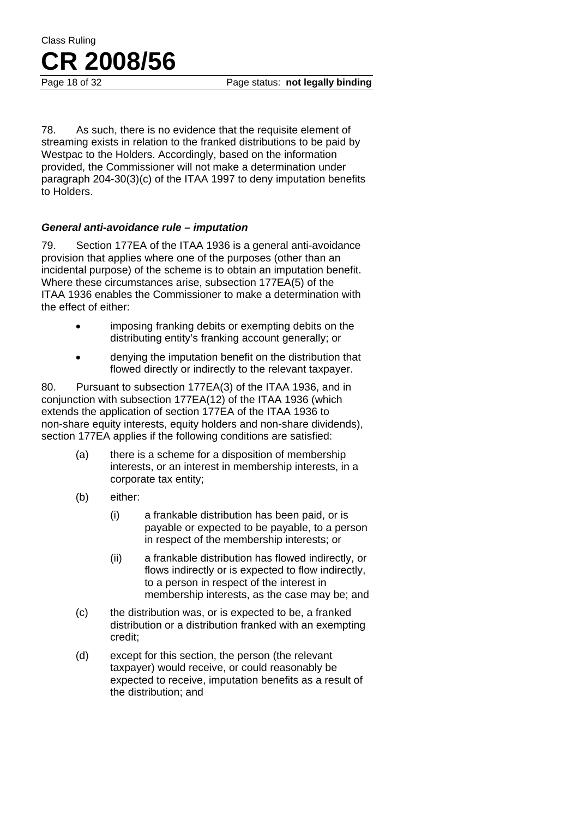Page 18 of 32 Page status: **not legally binding** 

78. As such, there is no evidence that the requisite element of streaming exists in relation to the franked distributions to be paid by Westpac to the Holders. Accordingly, based on the information provided, the Commissioner will not make a determination under paragraph 204-30(3)(c) of the ITAA 1997 to deny imputation benefits to Holders.

#### *General anti-avoidance rule – imputation*

79. Section 177EA of the ITAA 1936 is a general anti-avoidance provision that applies where one of the purposes (other than an incidental purpose) of the scheme is to obtain an imputation benefit. Where these circumstances arise, subsection 177EA(5) of the ITAA 1936 enables the Commissioner to make a determination with the effect of either:

- imposing franking debits or exempting debits on the distributing entity's franking account generally; or
- denying the imputation benefit on the distribution that flowed directly or indirectly to the relevant taxpayer.

80. Pursuant to subsection 177EA(3) of the ITAA 1936, and in conjunction with subsection 177EA(12) of the ITAA 1936 (which extends the application of section 177EA of the ITAA 1936 to non-share equity interests, equity holders and non-share dividends), section 177EA applies if the following conditions are satisfied:

- (a) there is a scheme for a disposition of membership interests, or an interest in membership interests, in a corporate tax entity;
- (b) either:
	- (i) a frankable distribution has been paid, or is payable or expected to be payable, to a person in respect of the membership interests; or
	- (ii) a frankable distribution has flowed indirectly, or flows indirectly or is expected to flow indirectly, to a person in respect of the interest in membership interests, as the case may be; and
- (c) the distribution was, or is expected to be, a franked distribution or a distribution franked with an exempting credit;
- (d) except for this section, the person (the relevant taxpayer) would receive, or could reasonably be expected to receive, imputation benefits as a result of the distribution; and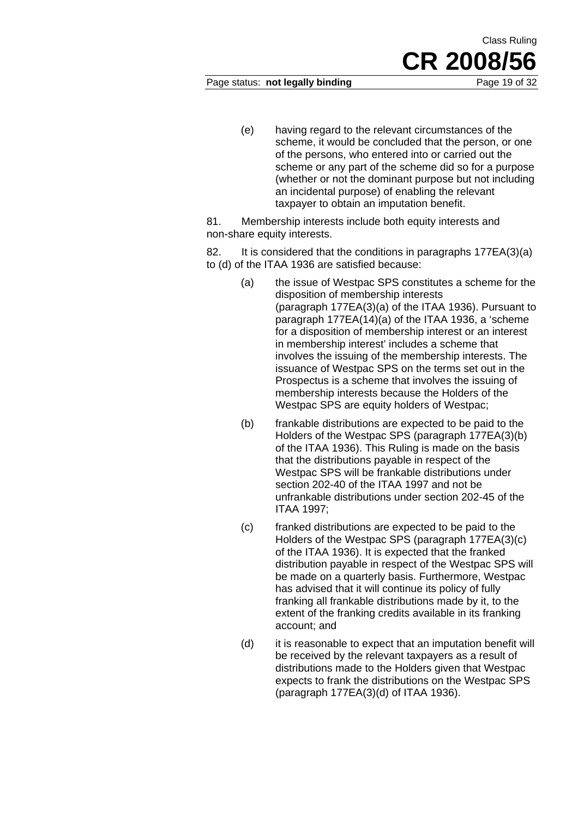#### Page status: **not legally binding** Page 19 of 32

(e) having regard to the relevant circumstances of the scheme, it would be concluded that the person, or one of the persons, who entered into or carried out the scheme or any part of the scheme did so for a purpose (whether or not the dominant purpose but not including an incidental purpose) of enabling the relevant taxpayer to obtain an imputation benefit.

81. Membership interests include both equity interests and non-share equity interests.

82. It is considered that the conditions in paragraphs 177EA(3)(a) to (d) of the ITAA 1936 are satisfied because:

- (a) the issue of Westpac SPS constitutes a scheme for the disposition of membership interests (paragraph 177EA(3)(a) of the ITAA 1936). Pursuant to paragraph 177EA(14)(a) of the ITAA 1936, a 'scheme for a disposition of membership interest or an interest in membership interest' includes a scheme that involves the issuing of the membership interests. The issuance of Westpac SPS on the terms set out in the Prospectus is a scheme that involves the issuing of membership interests because the Holders of the Westpac SPS are equity holders of Westpac;
- (b) frankable distributions are expected to be paid to the Holders of the Westpac SPS (paragraph 177EA(3)(b) of the ITAA 1936). This Ruling is made on the basis that the distributions payable in respect of the Westpac SPS will be frankable distributions under section 202-40 of the ITAA 1997 and not be unfrankable distributions under section 202-45 of the ITAA 1997;
- (c) franked distributions are expected to be paid to the Holders of the Westpac SPS (paragraph 177EA(3)(c) of the ITAA 1936). It is expected that the franked distribution payable in respect of the Westpac SPS will be made on a quarterly basis. Furthermore, Westpac has advised that it will continue its policy of fully franking all frankable distributions made by it, to the extent of the franking credits available in its franking account; and
- (d) it is reasonable to expect that an imputation benefit will be received by the relevant taxpayers as a result of distributions made to the Holders given that Westpac expects to frank the distributions on the Westpac SPS (paragraph 177EA(3)(d) of ITAA 1936).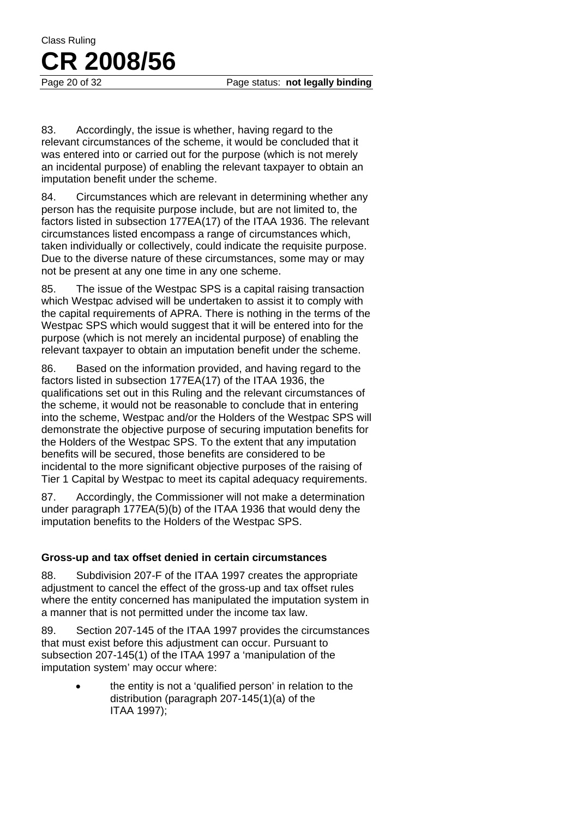Page 20 of 32 Page status: **not legally binding** 

83. Accordingly, the issue is whether, having regard to the relevant circumstances of the scheme, it would be concluded that it was entered into or carried out for the purpose (which is not merely an incidental purpose) of enabling the relevant taxpayer to obtain an imputation benefit under the scheme.

84. Circumstances which are relevant in determining whether any person has the requisite purpose include, but are not limited to, the factors listed in subsection 177EA(17) of the ITAA 1936. The relevant circumstances listed encompass a range of circumstances which, taken individually or collectively, could indicate the requisite purpose. Due to the diverse nature of these circumstances, some may or may not be present at any one time in any one scheme.

85. The issue of the Westpac SPS is a capital raising transaction which Westpac advised will be undertaken to assist it to comply with the capital requirements of APRA. There is nothing in the terms of the Westpac SPS which would suggest that it will be entered into for the purpose (which is not merely an incidental purpose) of enabling the relevant taxpayer to obtain an imputation benefit under the scheme.

86. Based on the information provided, and having regard to the factors listed in subsection 177EA(17) of the ITAA 1936, the qualifications set out in this Ruling and the relevant circumstances of the scheme, it would not be reasonable to conclude that in entering into the scheme, Westpac and/or the Holders of the Westpac SPS will demonstrate the objective purpose of securing imputation benefits for the Holders of the Westpac SPS. To the extent that any imputation benefits will be secured, those benefits are considered to be incidental to the more significant objective purposes of the raising of Tier 1 Capital by Westpac to meet its capital adequacy requirements.

87. Accordingly, the Commissioner will not make a determination under paragraph 177EA(5)(b) of the ITAA 1936 that would deny the imputation benefits to the Holders of the Westpac SPS.

## **Gross-up and tax offset denied in certain circumstances**

88. Subdivision 207-F of the ITAA 1997 creates the appropriate adjustment to cancel the effect of the gross-up and tax offset rules where the entity concerned has manipulated the imputation system in a manner that is not permitted under the income tax law.

89. Section 207-145 of the ITAA 1997 provides the circumstances that must exist before this adjustment can occur. Pursuant to subsection 207-145(1) of the ITAA 1997 a 'manipulation of the imputation system' may occur where:

> • the entity is not a 'qualified person' in relation to the distribution (paragraph 207-145(1)(a) of the ITAA 1997);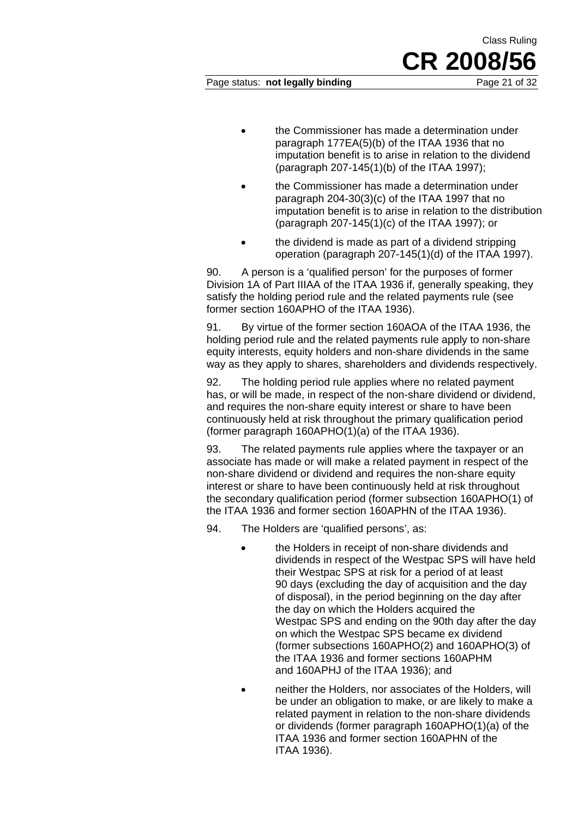## Page status: **not legally binding** Page 21 of 32

**CR 2008/56**

Class Ruling

- the Commissioner has made a determination under paragraph 177EA(5)(b) of the ITAA 1936 that no imputation benefit is to arise in relation to the dividend (paragraph 207-145(1)(b) of the ITAA 1997);
- the Commissioner has made a determination under paragraph 204-30(3)(c) of the ITAA 1997 that no imputation benefit is to arise in relation to the distribution (paragraph 207-145(1)(c) of the ITAA 1997); or
- the dividend is made as part of a dividend stripping operation (paragraph 207-145(1)(d) of the ITAA 1997).

90. A person is a 'qualified person' for the purposes of former Division 1A of Part IIIAA of the ITAA 1936 if, generally speaking, they satisfy the holding period rule and the related payments rule (see former section 160APHO of the ITAA 1936).

91. By virtue of the former section 160AOA of the ITAA 1936, the holding period rule and the related payments rule apply to non-share equity interests, equity holders and non-share dividends in the same way as they apply to shares, shareholders and dividends respectively.

92. The holding period rule applies where no related payment has, or will be made, in respect of the non-share dividend or dividend. and requires the non-share equity interest or share to have been continuously held at risk throughout the primary qualification period (former paragraph 160APHO(1)(a) of the ITAA 1936).

93. The related payments rule applies where the taxpayer or an associate has made or will make a related payment in respect of the non-share dividend or dividend and requires the non-share equity interest or share to have been continuously held at risk throughout the secondary qualification period (former subsection 160APHO(1) of the ITAA 1936 and former section 160APHN of the ITAA 1936).

94. The Holders are 'qualified persons', as:

- the Holders in receipt of non-share dividends and dividends in respect of the Westpac SPS will have held their Westpac SPS at risk for a period of at least 90 days (excluding the day of acquisition and the day of disposal), in the period beginning on the day after the day on which the Holders acquired the Westpac SPS and ending on the 90th day after the day on which the Westpac SPS became ex dividend (former subsections 160APHO(2) and 160APHO(3) of the ITAA 1936 and former sections 160APHM and 160APHJ of the ITAA 1936); and
- neither the Holders, nor associates of the Holders, will be under an obligation to make, or are likely to make a related payment in relation to the non-share dividends or dividends (former paragraph 160APHO(1)(a) of the ITAA 1936 and former section 160APHN of the ITAA 1936).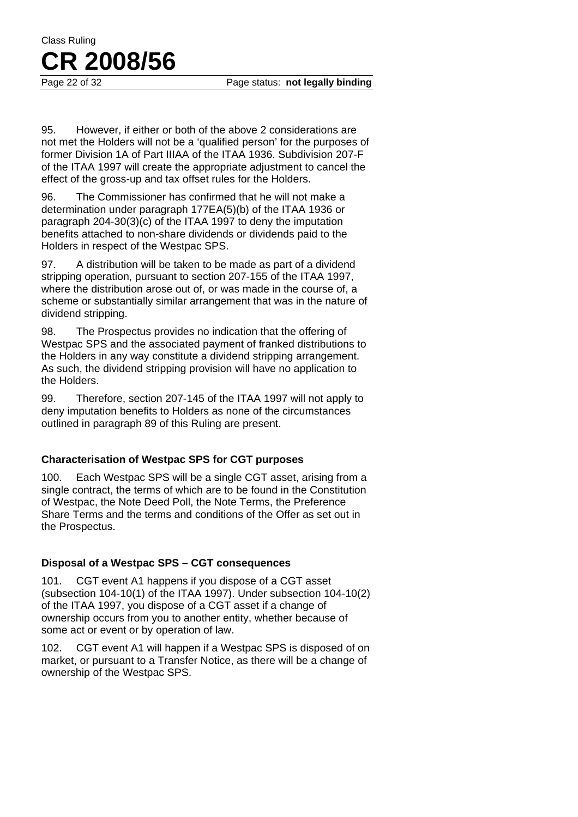95. However, if either or both of the above 2 considerations are not met the Holders will not be a 'qualified person' for the purposes of former Division 1A of Part IIIAA of the ITAA 1936. Subdivision 207-F of the ITAA 1997 will create the appropriate adjustment to cancel the effect of the gross-up and tax offset rules for the Holders.

96. The Commissioner has confirmed that he will not make a determination under paragraph 177EA(5)(b) of the ITAA 1936 or paragraph 204-30(3)(c) of the ITAA 1997 to deny the imputation benefits attached to non-share dividends or dividends paid to the Holders in respect of the Westpac SPS.

97. A distribution will be taken to be made as part of a dividend stripping operation, pursuant to section 207-155 of the ITAA 1997, where the distribution arose out of, or was made in the course of, a scheme or substantially similar arrangement that was in the nature of dividend stripping.

98. The Prospectus provides no indication that the offering of Westpac SPS and the associated payment of franked distributions to the Holders in any way constitute a dividend stripping arrangement. As such, the dividend stripping provision will have no application to the Holders.

99. Therefore, section 207-145 of the ITAA 1997 will not apply to deny imputation benefits to Holders as none of the circumstances outlined in paragraph 89 of this Ruling are present.

## **Characterisation of Westpac SPS for CGT purposes**

100. Each Westpac SPS will be a single CGT asset, arising from a single contract, the terms of which are to be found in the Constitution of Westpac, the Note Deed Poll, the Note Terms, the Preference Share Terms and the terms and conditions of the Offer as set out in the Prospectus.

## **Disposal of a Westpac SPS – CGT consequences**

101. CGT event A1 happens if you dispose of a CGT asset (subsection 104-10(1) of the ITAA 1997). Under subsection 104-10(2) of the ITAA 1997, you dispose of a CGT asset if a change of ownership occurs from you to another entity, whether because of some act or event or by operation of law.

102. CGT event A1 will happen if a Westpac SPS is disposed of on market, or pursuant to a Transfer Notice, as there will be a change of ownership of the Westpac SPS.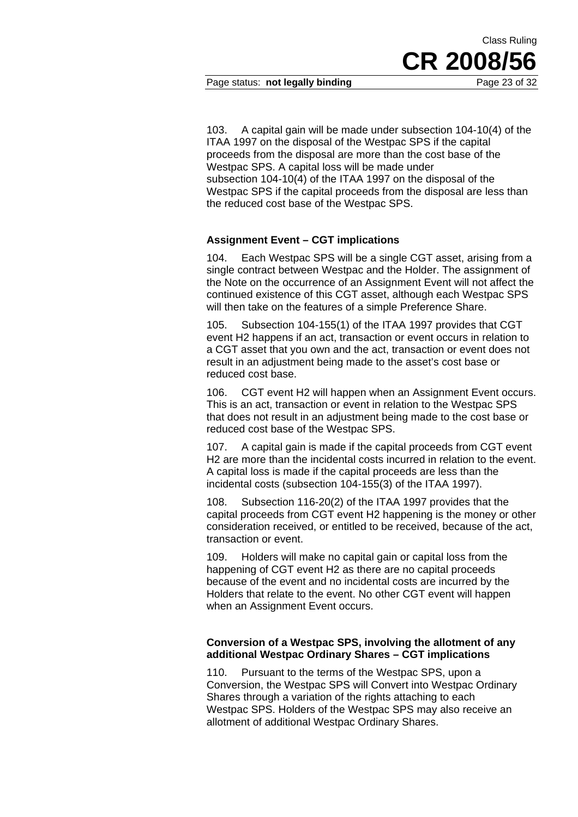## Page status: **not legally binding** Page 23 of 32

103. A capital gain will be made under subsection 104-10(4) of the ITAA 1997 on the disposal of the Westpac SPS if the capital proceeds from the disposal are more than the cost base of the Westpac SPS. A capital loss will be made under subsection 104-10(4) of the ITAA 1997 on the disposal of the Westpac SPS if the capital proceeds from the disposal are less than the reduced cost base of the Westpac SPS.

#### **Assignment Event – CGT implications**

104. Each Westpac SPS will be a single CGT asset, arising from a single contract between Westpac and the Holder. The assignment of the Note on the occurrence of an Assignment Event will not affect the continued existence of this CGT asset, although each Westpac SPS will then take on the features of a simple Preference Share.

105. Subsection 104-155(1) of the ITAA 1997 provides that CGT event H2 happens if an act, transaction or event occurs in relation to a CGT asset that you own and the act, transaction or event does not result in an adjustment being made to the asset's cost base or reduced cost base.

106. CGT event H2 will happen when an Assignment Event occurs. This is an act, transaction or event in relation to the Westpac SPS that does not result in an adjustment being made to the cost base or reduced cost base of the Westpac SPS.

107. A capital gain is made if the capital proceeds from CGT event H2 are more than the incidental costs incurred in relation to the event. A capital loss is made if the capital proceeds are less than the incidental costs (subsection 104-155(3) of the ITAA 1997).

108. Subsection 116-20(2) of the ITAA 1997 provides that the capital proceeds from CGT event H2 happening is the money or other consideration received, or entitled to be received, because of the act, transaction or event.

109. Holders will make no capital gain or capital loss from the happening of CGT event H2 as there are no capital proceeds because of the event and no incidental costs are incurred by the Holders that relate to the event. No other CGT event will happen when an Assignment Event occurs.

#### **Conversion of a Westpac SPS, involving the allotment of any additional Westpac Ordinary Shares – CGT implications**

110. Pursuant to the terms of the Westpac SPS, upon a Conversion, the Westpac SPS will Convert into Westpac Ordinary Shares through a variation of the rights attaching to each Westpac SPS. Holders of the Westpac SPS may also receive an allotment of additional Westpac Ordinary Shares.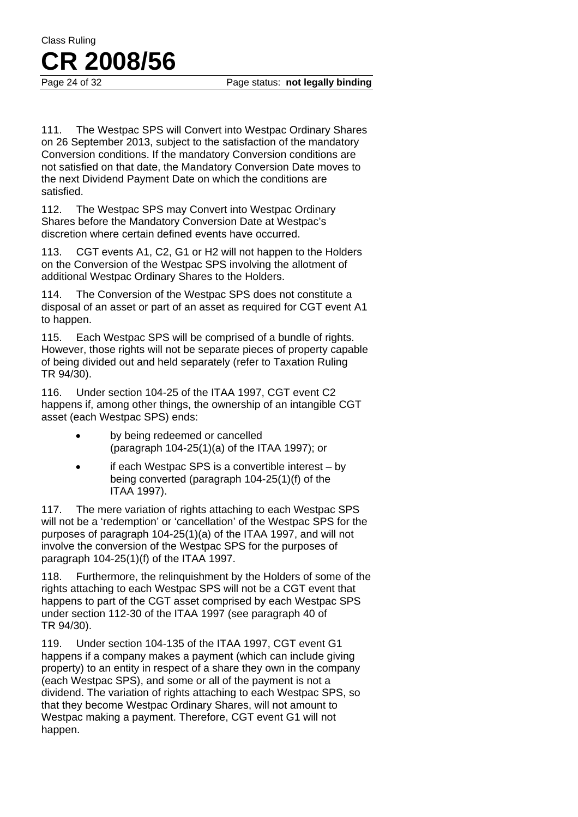111. The Westpac SPS will Convert into Westpac Ordinary Shares on 26 September 2013, subject to the satisfaction of the mandatory Conversion conditions. If the mandatory Conversion conditions are not satisfied on that date, the Mandatory Conversion Date moves to the next Dividend Payment Date on which the conditions are satisfied.

112. The Westpac SPS may Convert into Westpac Ordinary Shares before the Mandatory Conversion Date at Westpac's discretion where certain defined events have occurred.

113. CGT events A1, C2, G1 or H2 will not happen to the Holders on the Conversion of the Westpac SPS involving the allotment of additional Westpac Ordinary Shares to the Holders.

114. The Conversion of the Westpac SPS does not constitute a disposal of an asset or part of an asset as required for CGT event A1 to happen.

115. Each Westpac SPS will be comprised of a bundle of rights. However, those rights will not be separate pieces of property capable of being divided out and held separately (refer to Taxation Ruling TR 94/30).

116. Under section 104-25 of the ITAA 1997, CGT event C2 happens if, among other things, the ownership of an intangible CGT asset (each Westpac SPS) ends:

- by being redeemed or cancelled (paragraph 104-25(1)(a) of the ITAA 1997); or
- if each Westpac SPS is a convertible interest by being converted (paragraph 104-25(1)(f) of the ITAA 1997).

117. The mere variation of rights attaching to each Westpac SPS will not be a 'redemption' or 'cancellation' of the Westpac SPS for the purposes of paragraph 104-25(1)(a) of the ITAA 1997, and will not involve the conversion of the Westpac SPS for the purposes of paragraph 104-25(1)(f) of the ITAA 1997.

118. Furthermore, the relinquishment by the Holders of some of the rights attaching to each Westpac SPS will not be a CGT event that happens to part of the CGT asset comprised by each Westpac SPS under section 112-30 of the ITAA 1997 (see paragraph 40 of TR 94/30).

119. Under section 104-135 of the ITAA 1997, CGT event G1 happens if a company makes a payment (which can include giving property) to an entity in respect of a share they own in the company (each Westpac SPS), and some or all of the payment is not a dividend. The variation of rights attaching to each Westpac SPS, so that they become Westpac Ordinary Shares, will not amount to Westpac making a payment. Therefore, CGT event G1 will not happen.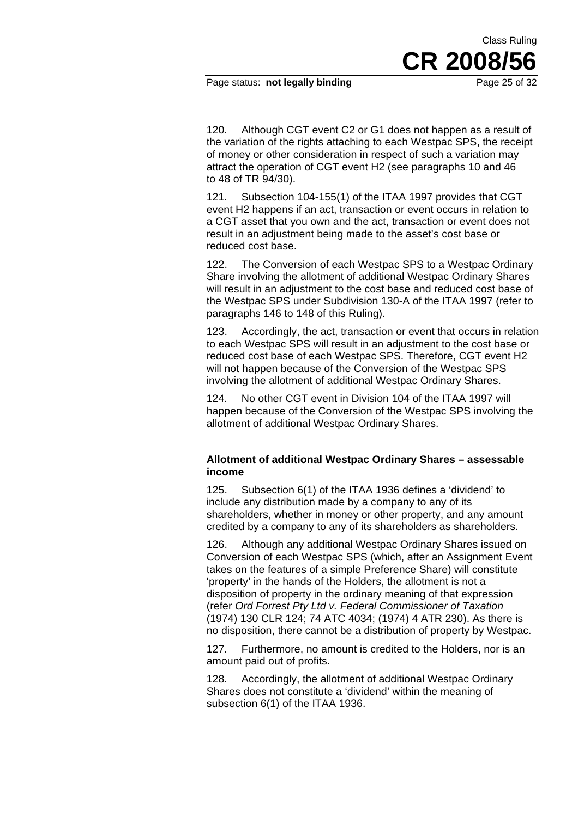Page status: **not legally binding** Page 25 of 32

**CR 2008/56**

Class Ruling

120. Although CGT event C2 or G1 does not happen as a result of the variation of the rights attaching to each Westpac SPS, the receipt of money or other consideration in respect of such a variation may attract the operation of CGT event H2 (see paragraphs 10 and 46 to 48 of TR 94/30).

121. Subsection 104-155(1) of the ITAA 1997 provides that CGT event H2 happens if an act, transaction or event occurs in relation to a CGT asset that you own and the act, transaction or event does not result in an adjustment being made to the asset's cost base or reduced cost base.

122. The Conversion of each Westpac SPS to a Westpac Ordinary Share involving the allotment of additional Westpac Ordinary Shares will result in an adjustment to the cost base and reduced cost base of the Westpac SPS under Subdivision 130-A of the ITAA 1997 (refer to paragraphs 146 to 148 of this Ruling).

123. Accordingly, the act, transaction or event that occurs in relation to each Westpac SPS will result in an adjustment to the cost base or reduced cost base of each Westpac SPS. Therefore, CGT event H2 will not happen because of the Conversion of the Westpac SPS involving the allotment of additional Westpac Ordinary Shares.

124. No other CGT event in Division 104 of the ITAA 1997 will happen because of the Conversion of the Westpac SPS involving the allotment of additional Westpac Ordinary Shares.

#### **Allotment of additional Westpac Ordinary Shares – assessable income**

125. Subsection 6(1) of the ITAA 1936 defines a 'dividend' to include any distribution made by a company to any of its shareholders, whether in money or other property, and any amount credited by a company to any of its shareholders as shareholders.

126. Although any additional Westpac Ordinary Shares issued on Conversion of each Westpac SPS (which, after an Assignment Event takes on the features of a simple Preference Share) will constitute 'property' in the hands of the Holders, the allotment is not a disposition of property in the ordinary meaning of that expression (refer *Ord Forrest Pty Ltd v. Federal Commissioner of Taxation* (1974) 130 CLR 124; 74 ATC 4034; (1974) 4 ATR 230). As there is no disposition, there cannot be a distribution of property by Westpac.

127. Furthermore, no amount is credited to the Holders, nor is an amount paid out of profits.

128. Accordingly, the allotment of additional Westpac Ordinary Shares does not constitute a 'dividend' within the meaning of subsection 6(1) of the ITAA 1936.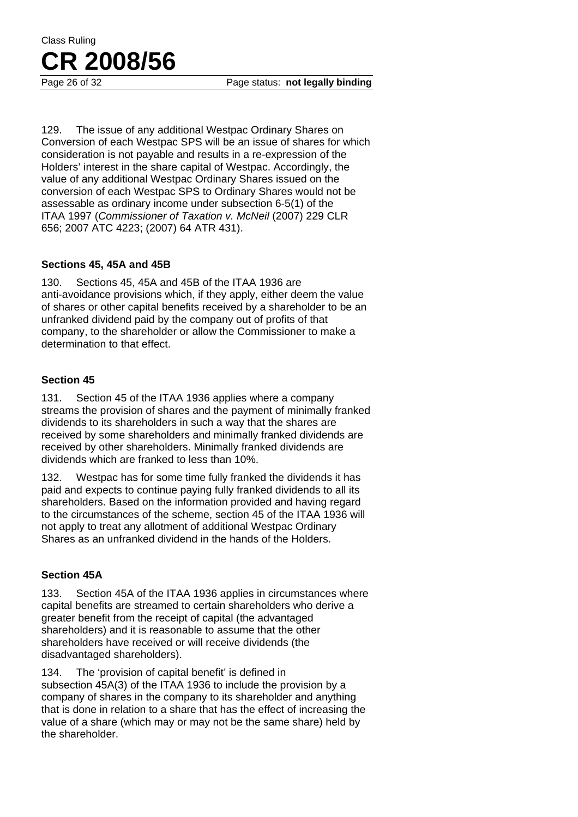Page 26 of 32 Page status: **not legally binding** 

129. The issue of any additional Westpac Ordinary Shares on Conversion of each Westpac SPS will be an issue of shares for which consideration is not payable and results in a re-expression of the Holders' interest in the share capital of Westpac. Accordingly, the value of any additional Westpac Ordinary Shares issued on the conversion of each Westpac SPS to Ordinary Shares would not be assessable as ordinary income under subsection 6-5(1) of the ITAA 1997 (*Commissioner of Taxation v. McNeil* (2007) 229 CLR 656; 2007 ATC 4223; (2007) 64 ATR 431).

## **Sections 45, 45A and 45B**

130. Sections 45, 45A and 45B of the ITAA 1936 are anti-avoidance provisions which, if they apply, either deem the value of shares or other capital benefits received by a shareholder to be an unfranked dividend paid by the company out of profits of that company, to the shareholder or allow the Commissioner to make a determination to that effect.

## **Section 45**

131. Section 45 of the ITAA 1936 applies where a company streams the provision of shares and the payment of minimally franked dividends to its shareholders in such a way that the shares are received by some shareholders and minimally franked dividends are received by other shareholders. Minimally franked dividends are dividends which are franked to less than 10%.

132. Westpac has for some time fully franked the dividends it has paid and expects to continue paying fully franked dividends to all its shareholders. Based on the information provided and having regard to the circumstances of the scheme, section 45 of the ITAA 1936 will not apply to treat any allotment of additional Westpac Ordinary Shares as an unfranked dividend in the hands of the Holders.

## **Section 45A**

133. Section 45A of the ITAA 1936 applies in circumstances where capital benefits are streamed to certain shareholders who derive a greater benefit from the receipt of capital (the advantaged shareholders) and it is reasonable to assume that the other shareholders have received or will receive dividends (the disadvantaged shareholders).

134. The 'provision of capital benefit' is defined in subsection 45A(3) of the ITAA 1936 to include the provision by a company of shares in the company to its shareholder and anything that is done in relation to a share that has the effect of increasing the value of a share (which may or may not be the same share) held by the shareholder.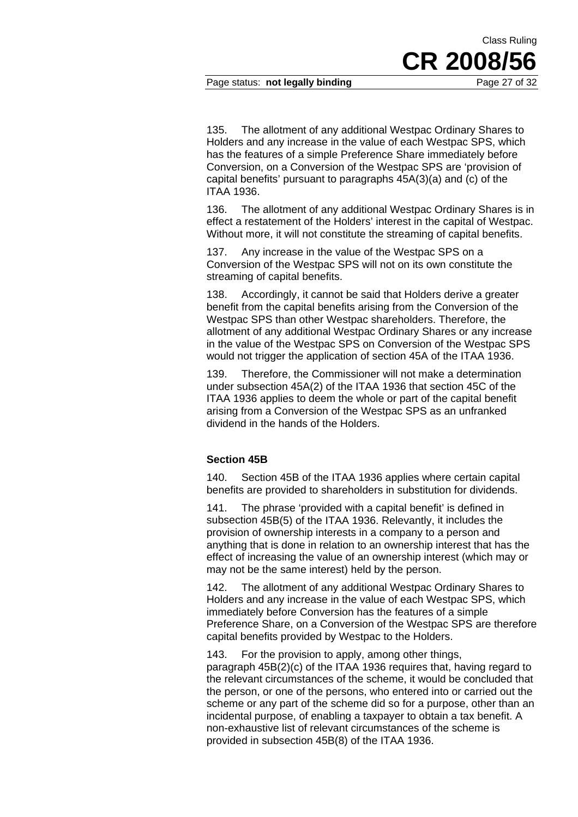Page status: **not legally binding** Page 27 of 32

135. The allotment of any additional Westpac Ordinary Shares to Holders and any increase in the value of each Westpac SPS, which has the features of a simple Preference Share immediately before Conversion, on a Conversion of the Westpac SPS are 'provision of capital benefits' pursuant to paragraphs 45A(3)(a) and (c) of the ITAA 1936.

136. The allotment of any additional Westpac Ordinary Shares is in effect a restatement of the Holders' interest in the capital of Westpac. Without more, it will not constitute the streaming of capital benefits.

137. Any increase in the value of the Westpac SPS on a Conversion of the Westpac SPS will not on its own constitute the streaming of capital benefits.

138. Accordingly, it cannot be said that Holders derive a greater benefit from the capital benefits arising from the Conversion of the Westpac SPS than other Westpac shareholders. Therefore, the allotment of any additional Westpac Ordinary Shares or any increase in the value of the Westpac SPS on Conversion of the Westpac SPS would not trigger the application of section 45A of the ITAA 1936.

139. Therefore, the Commissioner will not make a determination under subsection 45A(2) of the ITAA 1936 that section 45C of the ITAA 1936 applies to deem the whole or part of the capital benefit arising from a Conversion of the Westpac SPS as an unfranked dividend in the hands of the Holders.

#### **Section 45B**

140. Section 45B of the ITAA 1936 applies where certain capital benefits are provided to shareholders in substitution for dividends.

141. The phrase 'provided with a capital benefit' is defined in subsection 45B(5) of the ITAA 1936. Relevantly, it includes the provision of ownership interests in a company to a person and anything that is done in relation to an ownership interest that has the effect of increasing the value of an ownership interest (which may or may not be the same interest) held by the person.

142. The allotment of any additional Westpac Ordinary Shares to Holders and any increase in the value of each Westpac SPS, which immediately before Conversion has the features of a simple Preference Share, on a Conversion of the Westpac SPS are therefore capital benefits provided by Westpac to the Holders.

143. For the provision to apply, among other things, paragraph 45B(2)(c) of the ITAA 1936 requires that, having regard to the relevant circumstances of the scheme, it would be concluded that the person, or one of the persons, who entered into or carried out the scheme or any part of the scheme did so for a purpose, other than an incidental purpose, of enabling a taxpayer to obtain a tax benefit. A non-exhaustive list of relevant circumstances of the scheme is provided in subsection 45B(8) of the ITAA 1936.

**CR 2008/56**

Class Ruling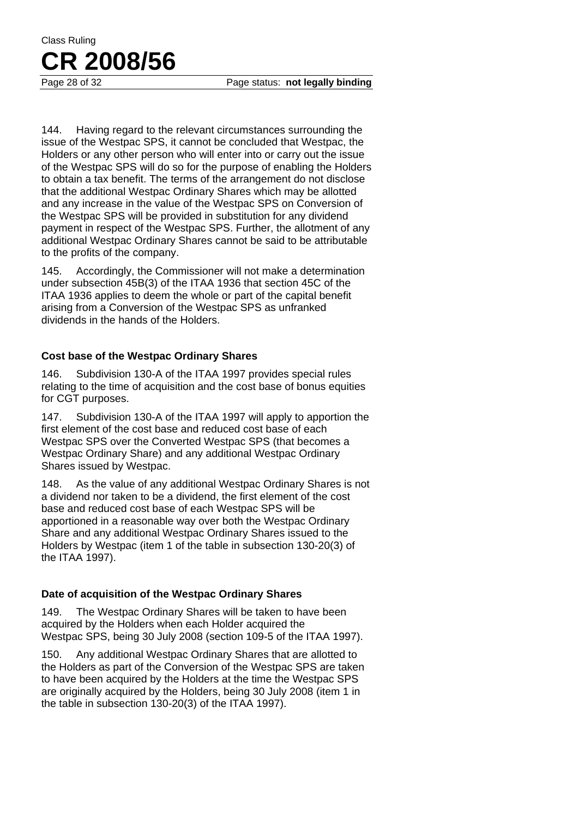144. Having regard to the relevant circumstances surrounding the issue of the Westpac SPS, it cannot be concluded that Westpac, the Holders or any other person who will enter into or carry out the issue of the Westpac SPS will do so for the purpose of enabling the Holders to obtain a tax benefit. The terms of the arrangement do not disclose that the additional Westpac Ordinary Shares which may be allotted and any increase in the value of the Westpac SPS on Conversion of the Westpac SPS will be provided in substitution for any dividend payment in respect of the Westpac SPS. Further, the allotment of any additional Westpac Ordinary Shares cannot be said to be attributable to the profits of the company.

145. Accordingly, the Commissioner will not make a determination under subsection 45B(3) of the ITAA 1936 that section 45C of the ITAA 1936 applies to deem the whole or part of the capital benefit arising from a Conversion of the Westpac SPS as unfranked dividends in the hands of the Holders.

## **Cost base of the Westpac Ordinary Shares**

146. Subdivision 130-A of the ITAA 1997 provides special rules relating to the time of acquisition and the cost base of bonus equities for CGT purposes.

147. Subdivision 130-A of the ITAA 1997 will apply to apportion the first element of the cost base and reduced cost base of each Westpac SPS over the Converted Westpac SPS (that becomes a Westpac Ordinary Share) and any additional Westpac Ordinary Shares issued by Westpac.

148. As the value of any additional Westpac Ordinary Shares is not a dividend nor taken to be a dividend, the first element of the cost base and reduced cost base of each Westpac SPS will be apportioned in a reasonable way over both the Westpac Ordinary Share and any additional Westpac Ordinary Shares issued to the Holders by Westpac (item 1 of the table in subsection 130-20(3) of the ITAA 1997).

## **Date of acquisition of the Westpac Ordinary Shares**

149. The Westpac Ordinary Shares will be taken to have been acquired by the Holders when each Holder acquired the Westpac SPS, being 30 July 2008 (section 109-5 of the ITAA 1997).

150. Any additional Westpac Ordinary Shares that are allotted to the Holders as part of the Conversion of the Westpac SPS are taken to have been acquired by the Holders at the time the Westpac SPS are originally acquired by the Holders, being 30 July 2008 (item 1 in the table in subsection 130-20(3) of the ITAA 1997).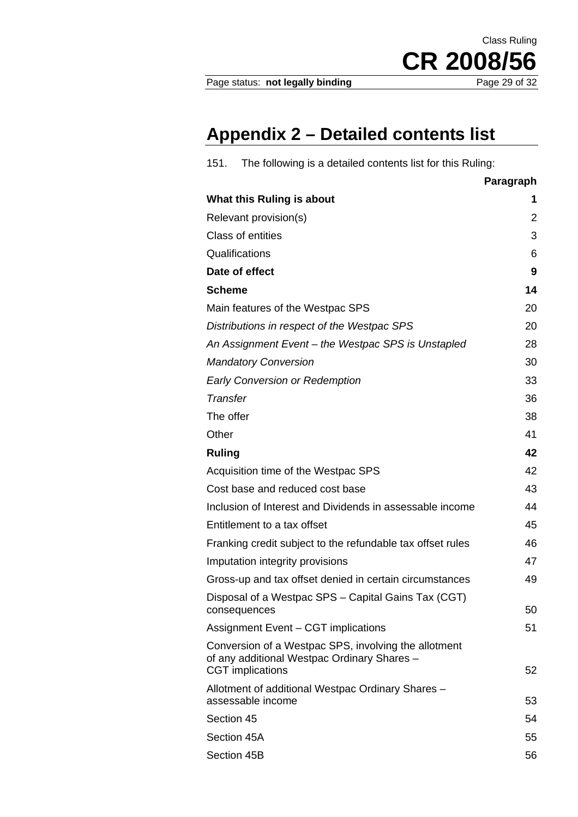Page status: not legally binding

CR 2008/56

Class Ruling

# **Appendix 2 – Detailed contents list**

| The following is a detailed contents list for this Ruling:<br>151.                                                             |                |
|--------------------------------------------------------------------------------------------------------------------------------|----------------|
|                                                                                                                                | Paragraph      |
| What this Ruling is about                                                                                                      | 1              |
| Relevant provision(s)                                                                                                          | $\overline{2}$ |
| Class of entities                                                                                                              | 3              |
| Qualifications                                                                                                                 | 6              |
| Date of effect                                                                                                                 | 9              |
| <b>Scheme</b>                                                                                                                  | 14             |
| Main features of the Westpac SPS                                                                                               | 20             |
| Distributions in respect of the Westpac SPS                                                                                    | 20             |
| An Assignment Event - the Westpac SPS is Unstapled                                                                             | 28             |
| <b>Mandatory Conversion</b>                                                                                                    | 30             |
| <b>Early Conversion or Redemption</b>                                                                                          | 33             |
| Transfer                                                                                                                       | 36             |
| The offer                                                                                                                      | 38             |
| Other                                                                                                                          | 41             |
| <b>Ruling</b>                                                                                                                  | 42             |
| Acquisition time of the Westpac SPS                                                                                            | 42             |
| Cost base and reduced cost base                                                                                                | 43             |
| Inclusion of Interest and Dividends in assessable income                                                                       | 44             |
| Entitlement to a tax offset                                                                                                    | 45             |
| Franking credit subject to the refundable tax offset rules                                                                     | 46             |
| Imputation integrity provisions                                                                                                | 47             |
| Gross-up and tax offset denied in certain circumstances                                                                        | 49             |
| Disposal of a Westpac SPS - Capital Gains Tax (CGT)                                                                            |                |
| consequences                                                                                                                   | 50             |
| Assignment Event - CGT implications                                                                                            | 51             |
| Conversion of a Westpac SPS, involving the allotment<br>of any additional Westpac Ordinary Shares -<br><b>CGT</b> implications | 52             |
| Allotment of additional Westpac Ordinary Shares -                                                                              |                |
| assessable income                                                                                                              | 53             |
| Section 45                                                                                                                     | 54             |
| Section 45A                                                                                                                    | 55             |
| Section 45B                                                                                                                    | 56             |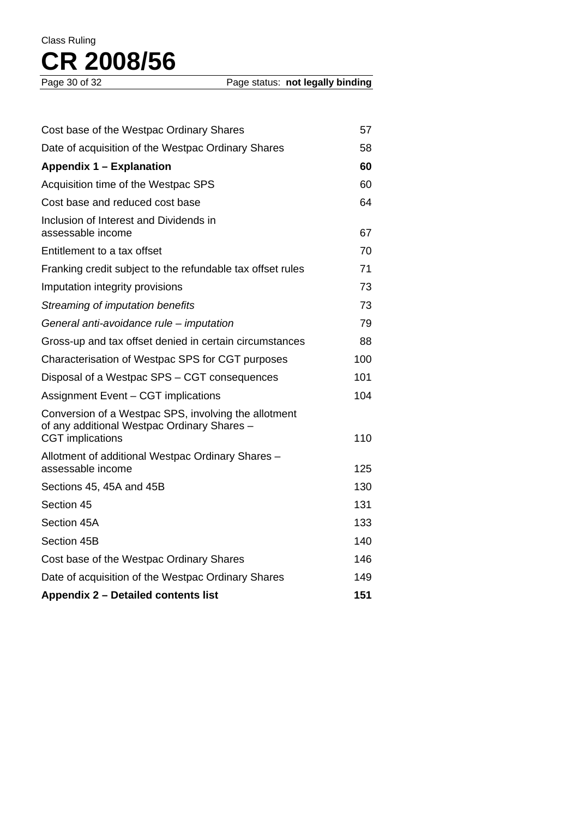| Cost base of the Westpac Ordinary Shares                                                                                       | 57  |
|--------------------------------------------------------------------------------------------------------------------------------|-----|
| Date of acquisition of the Westpac Ordinary Shares                                                                             | 58  |
| Appendix 1 - Explanation                                                                                                       | 60  |
| Acquisition time of the Westpac SPS                                                                                            | 60  |
| Cost base and reduced cost base                                                                                                | 64  |
| Inclusion of Interest and Dividends in<br>assessable income                                                                    | 67  |
| Entitlement to a tax offset                                                                                                    | 70  |
| Franking credit subject to the refundable tax offset rules                                                                     | 71  |
| Imputation integrity provisions                                                                                                | 73  |
| Streaming of imputation benefits                                                                                               | 73  |
| General anti-avoidance rule – imputation                                                                                       | 79  |
| Gross-up and tax offset denied in certain circumstances                                                                        | 88  |
| Characterisation of Westpac SPS for CGT purposes                                                                               | 100 |
| Disposal of a Westpac SPS - CGT consequences                                                                                   | 101 |
| Assignment Event - CGT implications                                                                                            | 104 |
| Conversion of a Westpac SPS, involving the allotment<br>of any additional Westpac Ordinary Shares -<br><b>CGT</b> implications | 110 |
| Allotment of additional Westpac Ordinary Shares -<br>assessable income                                                         | 125 |
| Sections 45, 45A and 45B                                                                                                       | 130 |
| Section 45                                                                                                                     | 131 |
| Section 45A                                                                                                                    | 133 |
| Section 45B                                                                                                                    | 140 |
| Cost base of the Westpac Ordinary Shares                                                                                       | 146 |
| Date of acquisition of the Westpac Ordinary Shares                                                                             | 149 |
| Appendix 2 - Detailed contents list                                                                                            | 151 |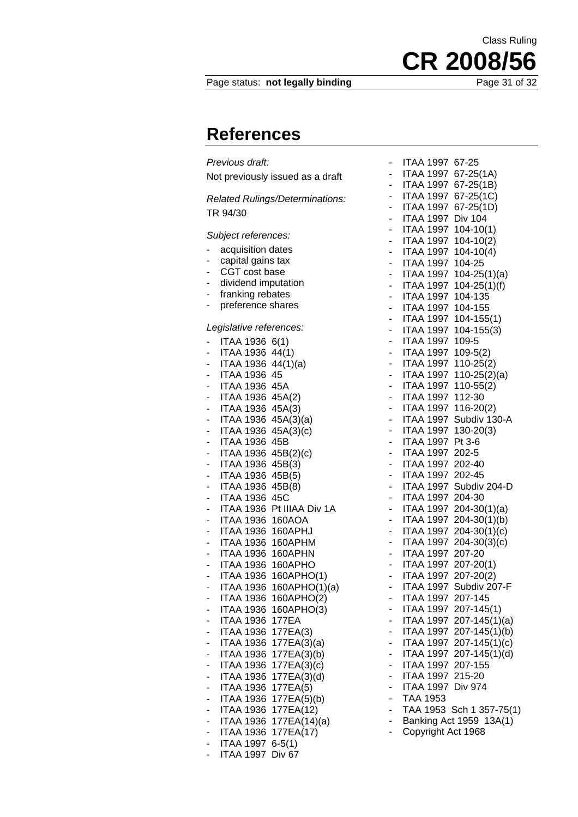## Page status: not legally binding

**References** 

| Previous draft:                                                             |  |  |
|-----------------------------------------------------------------------------|--|--|
| Not previously issued as a draft                                            |  |  |
|                                                                             |  |  |
| Related Rulings/Determinations:                                             |  |  |
| TR 94/30                                                                    |  |  |
| Subject references:                                                         |  |  |
| acquisition dates<br>۳                                                      |  |  |
| capital gains tax<br>-                                                      |  |  |
| CGT cost base<br>۰<br>dividend imputation                                   |  |  |
| - 1<br>franking rebates<br>-                                                |  |  |
| preference shares<br>٠                                                      |  |  |
|                                                                             |  |  |
| Legislative references:                                                     |  |  |
| ITAA 1936 6(1)<br>-<br>ITAA 1936 44(1)<br>- 1                               |  |  |
| ITAA 1936 44(1)(a)                                                          |  |  |
| ITAA 1936 45<br>٠                                                           |  |  |
| ITAA 1936 45A<br>-                                                          |  |  |
| ITAA 1936 45A(2)<br>-<br>ITAA 1936 45A(3)<br>$\overline{a}$                 |  |  |
| ITAA 1936 45A(3)(a)                                                         |  |  |
| ITAA 1936 45A(3)(c)                                                         |  |  |
| ITAA 1936 45B<br>-                                                          |  |  |
| ITAA 1936 45B(2)(c)<br>-<br>ITAA 1936 45B(3)                                |  |  |
| -<br>ITAA 1936 45B(5)<br>۰                                                  |  |  |
| ITAA 1936 45B(8)<br>- 1                                                     |  |  |
| ITAA 1936 45C<br>$\overline{\phantom{0}}$                                   |  |  |
| ITAA 1936 Pt IIIAA Div 1A<br>$\overline{\phantom{0}}$                       |  |  |
| ITAA 1936 160AOA<br>-<br>ITAA 1936 160APHJ<br>٠                             |  |  |
| ITAA 1936 160APHM<br>٠                                                      |  |  |
| ITAA 1936 160APHN                                                           |  |  |
| ITAA 1936 160APHO                                                           |  |  |
| <b>ITAA 1936</b><br>160APHO(1)<br><b>ITAA 1936</b><br>۰                     |  |  |
| 160APHO(1)(a)<br>ITAA 1936 160APHO(2)                                       |  |  |
| <b>ITAA 1936</b><br>160APHO(3)                                              |  |  |
| ITAA 1936<br>177EA                                                          |  |  |
| ITAA 1936<br>177EA(3)                                                       |  |  |
| ITAA 1936<br>177EA(3)(a)<br>-<br><b>ITAA 1936</b><br>177EA(3)(b)<br>-       |  |  |
| 177EA(3)(c)<br>ITAA 1936<br>-                                               |  |  |
| 177EA(3)(d)<br><b>ITAA 1936</b><br>-                                        |  |  |
| <b>ITAA 1936</b><br>177EA(5)                                                |  |  |
| <b>ITAA 1936</b><br>177EA(5)(b)                                             |  |  |
| 177EA(12)<br><b>ITAA 1936</b><br>-<br><b>ITAA 1936</b><br>177EA(14)(a)<br>- |  |  |
| ITAA 1936<br>177EA(17)<br>-                                                 |  |  |
| <b>ITAA 1997</b><br>$6 - 5(1)$<br>-                                         |  |  |
| ITAA 1997<br>Div 67                                                         |  |  |

|                          | ITAA 1997 67-25                                                      |
|--------------------------|----------------------------------------------------------------------|
|                          |                                                                      |
| $\sim$                   | ITAA 1997 67-25(1A)                                                  |
|                          | - ITAA 1997 67-25(1B)                                                |
| $\overline{\phantom{0}}$ | ITAA 1997 67-25(1C)                                                  |
| -                        | ITAA 1997 67-25(1D)                                                  |
| -                        | <b>ITAA 1997</b><br><b>Div 104</b>                                   |
|                          | ITAA 1997 104-10(1)                                                  |
|                          | <b>ITAA 1997</b><br>$104 - 10(2)$                                    |
|                          |                                                                      |
| ۰                        | <b>ITAA 1997</b><br>$104 - 10(4)$                                    |
| $\overline{\phantom{0}}$ | ITAA 1997 104-25                                                     |
| ۰                        | ITAA 1997 104-25(1)(a)                                               |
|                          | - ITAA 1997 104-25(1)(f)                                             |
|                          | - ITAA 1997 104-135                                                  |
|                          |                                                                      |
|                          | - ITAA 1997 104-155                                                  |
|                          | - ITAA 1997 104-155(1)                                               |
|                          | - ITAA 1997 104-155(3)                                               |
| ۰                        | ITAA 1997 109-5                                                      |
| -                        | ITAA 1997 109-5(2)                                                   |
|                          |                                                                      |
|                          | ITAA 1997 110-25(2)                                                  |
|                          | ITAA 1997 110-25(2)(a)<br>ITAA 1997 110-55(2)                        |
| ۰                        |                                                                      |
| $\overline{\phantom{a}}$ | ITAA 1997 112-30                                                     |
| ۰                        | ITAA 1997 116-20(2)                                                  |
|                          | - ITAA 1997 Subdiv 130-A                                             |
|                          | - ITAA 1997 130-20(3)                                                |
|                          | - ITAA 1997 Pt 3-6                                                   |
|                          | - ITAA 1997 202-5                                                    |
| $\overline{\phantom{0}}$ | ITAA 1997 202-40                                                     |
|                          |                                                                      |
| ۰                        | ITAA 1997 202-45                                                     |
| -                        | ITAA 1997 Subdiv 204-D                                               |
|                          | ITAA 1997 204-30<br>ITAA 1997 204-30(1)(a)<br>ITAA 1997 204-30(1)(b) |
|                          |                                                                      |
| ۰                        |                                                                      |
| $\blacksquare$           | ITAA 1997 204-30(1)(c)                                               |
| ۰                        | ITAA 1997 204-30(3)(c)                                               |
|                          | - ITAA 1997 207-20                                                   |
|                          | - ITAA 1997 207-20(1)                                                |
|                          |                                                                      |
|                          | - ITAA 1997 207-20(2)                                                |
|                          | ITAA 1997 Subdiv 207-F                                               |
|                          | ITAA 1997<br>207-145                                                 |
|                          | <b>ITAA 1997</b><br>$207 - 145(1)$                                   |
|                          | <b>ITAA 1997</b><br>$207 - 145(1)(a)$                                |
|                          | <b>ITAA 1997</b><br>207-145(1)(b)                                    |
|                          | <b>ITAA 1997</b><br>207-145(1)(c)                                    |
|                          | <b>ITAA 1997</b><br>207-145(1)(d)                                    |
|                          | <b>ITAA 1997</b><br>207-155                                          |
| -                        | <b>ITAA 1997</b><br>215-20                                           |
|                          | <b>ITAA 1997</b><br><b>Div 974</b>                                   |
| -                        |                                                                      |
|                          | TAA 1953                                                             |
|                          | TAA 1953 Sch 1 357-75(1)                                             |
|                          | Banking Act 1959 13A(1)                                              |
|                          | Copyright Act 1968                                                   |

CR 2008/56

## Class Ruling